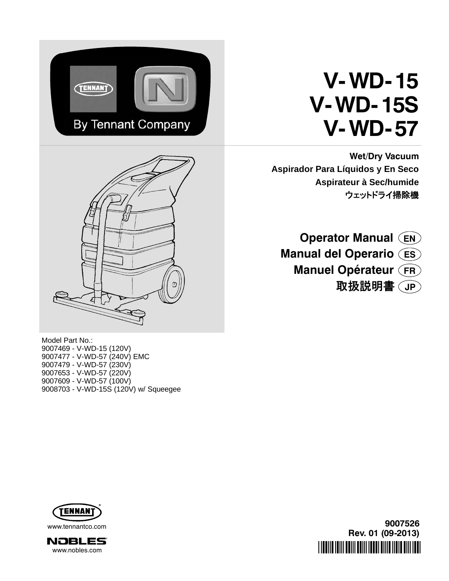

# **V-WD- 15 V-WD- 15S V-WD- 57**

**Wet/Dry Vacuum Aspirador Para Líquidos y En Seco Aspirateur à Sec/humide** ウェットドライ掃除機



**Operator Manual EN Manual del Operario ES Manuel Opérateur FR** 取扱説明書 **JP**

Model Part No.: 9007469 - V-WD-15 (120V) 9007477 - V-WD-57 (240V) EMC 9007479 - V-WD-57 (230V) 9007653 - V-WD-57 (220V) 9007609 - V-WD-57 (100V) 9008703 - V-WD-15S (120V) w/ Squeegee





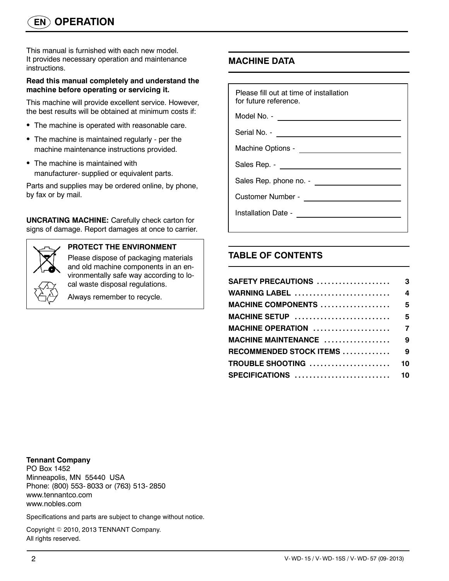This manual is furnished with each new model. It provides necessary operation and maintenance instructions.

#### **Read this manual completely and understand the machine before operating or servicing it.**

This machine will provide excellent service. However, the best results will be obtained at minimum costs if:

- The machine is operated with reasonable care.
- The machine is maintained regularly per the machine maintenance instructions provided.
- The machine is maintained with manufacturer- supplied or equivalent parts.

Parts and supplies may be ordered online, by phone, by fax or by mail.

**UNCRATING MACHINE:** Carefully check carton for signs of damage. Report damages at once to carrier.



### **PROTECT THE ENVIRONMENT**

Please dispose of packaging materials and old machine components in an environmentally safe way according to local waste disposal regulations.

Always remember to recycle.

## **MACHINE DATA**

| Please fill out at time of installation<br>for future reference. |
|------------------------------------------------------------------|
|                                                                  |
| Serial No. - <u>________________________________</u>             |
|                                                                  |
| Sales Rep. - ________________________                            |
|                                                                  |
|                                                                  |
| Installation Date - <u>_______________________</u>               |
|                                                                  |

## **TABLE OF CONTENTS**

| SAFETY PRECAUTIONS         | 3                       |
|----------------------------|-------------------------|
| <b>WARNING LABEL </b>      | $\overline{\mathbf{4}}$ |
| MACHINE COMPONENTS  5      |                         |
| MACHINE SETUP  5           |                         |
|                            |                         |
| MACHINE MAINTENANCE  9     |                         |
| RECOMMENDED STOCK ITEMS  9 |                         |
| TROUBLE SHOOTING           | 10                      |
| SPECIFICATIONS  10         |                         |
|                            |                         |

**Tennant Company**

PO Box 1452 Minneapolis, MN 55440 USA Phone: (800) 553- 8033 or (763) 513- 2850 www.tennantco.com www.nobles.com

Specifications and parts are subject to change without notice.

Copyright © 2010, 2013 TENNANT Company. All rights reserved.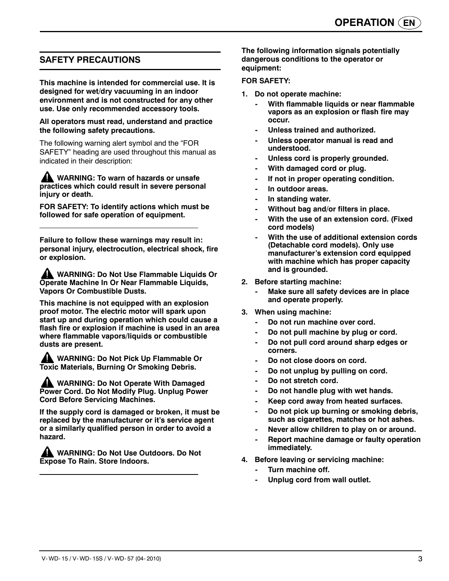## **SAFETY PRECAUTIONS**

**This machine is intended for commercial use. It is designed for wet/dry vacuuming in an indoor environment and is not constructed for any other use. Use only recommended accessory tools.**

#### **All operators must read, understand and practice the following safety precautions.**

The following warning alert symbol and the "FOR SAFETY" heading are used throughout this manual as indicated in their description:

**WARNING: To warn of hazards or unsafe practices which could result in severe personal injury or death.**

**FOR SAFETY: To identify actions which must be followed for safe operation of equipment.**

**Failure to follow these warnings may result in: personal injury, electrocution, electrical shock, fire or explosion.**

**WARNING: Do Not Use Flammable Liquids Or Operate Machine In Or Near Flammable Liquids, Vapors Or Combustible Dusts.**

**This machine is not equipped with an explosion proof motor. The electric motor will spark upon start up and during operation which could cause a flash fire or explosion if machine is used in an area where flammable vapors/liquids or combustible dusts are present.**

**WARNING: Do Not Pick Up Flammable Or Toxic Materials, Burning Or Smoking Debris.**

**WARNING: Do Not Operate With Damaged Power Cord. Do Not Modify Plug. Unplug Power Cord Before Servicing Machines.**

**If the supply cord is damaged or broken, it must be replaced by the manufacturer or it's service agent or a similarly qualified person in order to avoid a hazard.**

**WARNING: Do Not Use Outdoors. Do Not Expose To Rain. Store Indoors.**

**The following information signals potentially dangerous conditions to the operator or equipment:**

#### **FOR SAFETY:**

- **1. Do not operate machine:**
	- **With flammable liquids or near flammable vapors as an explosion or flash fire may occur.**
	- **Unless trained and authorized.**
	- **Unless operator manual is read and understood.**
	- **Unless cord is properly grounded.**
	- **With damaged cord or plug.**
	- **If not in proper operating condition.**
	- **In outdoor areas.**
	- **In standing water.**
	- **Without bag and/or filters in place.**
	- **With the use of an extension cord. (Fixed cord models)**
	- **With the use of additional extension cords (Detachable cord models). Only use manufacturer's extension cord equipped with machine which has proper capacity and is grounded.**
- **2. Before starting machine:**
	- **Make sure all safety devices are in place and operate properly.**
- **3. When using machine:**
	- Do not run machine over cord.
	- **Do not pull machine by plug or cord.**
	- **Do not pull cord around sharp edges or corners.**
	- Do not close doors on cord.
	- **Do not unplug by pulling on cord.**
	- **Do not stretch cord.**
	- **Do not handle plug with wet hands.**
	- **Keep cord away from heated surfaces.**
	- **Do not pick up burning or smoking debris, such as cigarettes, matches or hot ashes.**
	- **Never allow children to play on or around.**
	- **Report machine damage or faulty operation immediately.**
- **4. Before leaving or servicing machine:**
	- **Turn machine off.**
	- **Unplug cord from wall outlet.**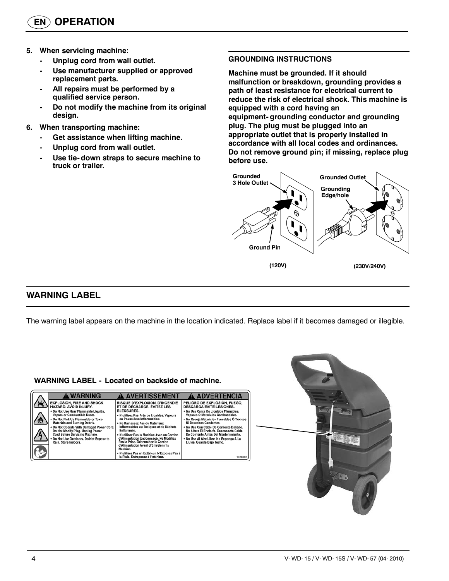- **5. When servicing machine:**
	- **Unplug cord from wall outlet.**
	- **Use manufacturer supplied or approved replacement parts.**
	- **All repairs must be performed by a qualified service person.**
	- **Do not modify the machine from its original design.**
- **6. When transporting machine:**
	- **Get assistance when lifting machine.**
	- **Unplug cord from wall outlet.**
	- **Use tie- down straps to secure machine to truck or trailer.**

#### **GROUNDING INSTRUCTIONS**

**Machine must be grounded. If it should malfunction or breakdown, grounding provides a path of least resistance for electrical current to reduce the risk of electrical shock. This machine is equipped with a cord having an equipment- grounding conductor and grounding plug. The plug must be plugged into an appropriate outlet that is properly installed in accordance with all local codes and ordinances. Do not remove ground pin; if missing, replace plug before use.**



## **WARNING LABEL**

The warning label appears on the machine in the location indicated. Replace label if it becomes damaged or illegible.

#### **WARNING LABEL - Located on backside of machine.**

| A WARNING                                 | <b>A AVERTISSEMENT</b>                                                                 | <b>A ADVERTENCIA</b>                       |
|-------------------------------------------|----------------------------------------------------------------------------------------|--------------------------------------------|
| <b>EXPLOSION, FIRE AND SHOCK</b>          | <b>RISQUE D'EXPLOSION, D'INCENDIE</b>                                                  | PELIGRO DE EXPLOSIÓN, FUEGO,               |
| HAZARD, AVOID INJURY.                     | ET DE DÉCHARGE. ÉVITEZ LES                                                             | <b>DESCARGA EVITE LESIONES.</b>            |
| . Do Not Use Near Flammable Liquids.      | <b>BLESSURES.</b>                                                                      | . No Use Cerca De Líquidos Flamables.      |
| Vapors or Combustible Dusts.              | • N'utilisez Pas Près de Liquides, Vapeurs                                             | Vapores Ó Materiales Combustibles.         |
| * Do Not Pick Up Flammable or Toxic       | ou Poussières Inflammables.                                                            | • No Recoja Materiales Flamables Ó Tóxicos |
| Materials and Burning Debris.             | . Ne Ramassez Pas de Matériaux                                                         | Ni Desechos Candentes.                     |
| . Do Not Operate With Damaged Power Cord. | Inflammables ou Toxiques et de Déchets                                                 | . No Use Con Cable De Corriente Dañado.    |
| Do Not Modify Plug. Unplug Power          | Enflammés.                                                                             | No Altere El Enchufe, Desconecte Cable     |
| Cord Before Servicing Machine.            | . N'utilisez Pas la Machine Avec un Cordon                                             | De Corriente Antes Del Mantenimiento.      |
| . Do Not Use Outdoors, Do Not Expose to   | d'Alimentation Endommagé. Ne Modifiez                                                  | . No Use Al Aire Libre, No Exponga A La    |
| Rain, Store Indoors.                      | Pas la Prise, Débranchez le Cordon<br>d'Alimentation Avant d'Entretenir la<br>Machine. | Lluvia. Guarde Bajo Techo.                 |
|                                           | · N'utilisez Pas en Extérieur. N'Exposez Pas à<br>la Pluie, Entreposez à l'Intérieur.  |                                            |

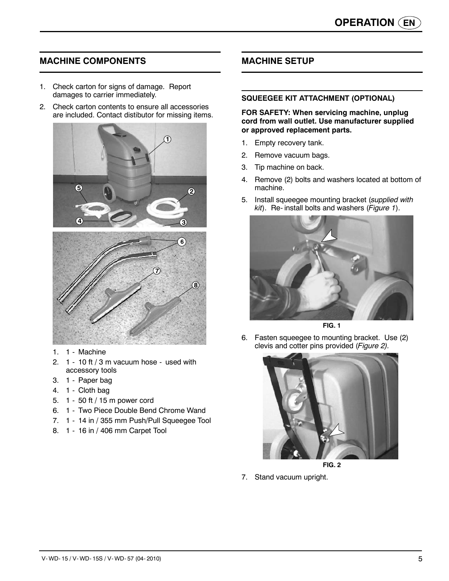## **MACHINE COMPONENTS**

- 1. Check carton for signs of damage. Report damages to carrier immediately.
- 2. Check carton contents to ensure all accessories are included. Contact distibutor for missing items.



- 1. 1 Machine
- 2. 1 10 ft / 3 m vacuum hose used with accessory tools
- 3. 1 Paper bag
- 4. 1 Cloth bag
- 5. 1 50 ft / 15 m power cord
- 6. 1 Two Piece Double Bend Chrome Wand
- 7. 1 14 in / 355 mm Push/Pull Squeegee Tool
- 8. 1 16 in / 406 mm Carpet Tool

## **MACHINE SETUP**

#### **SQUEEGEE KIT ATTACHMENT (OPTIONAL)**

**FOR SAFETY: When servicing machine, unplug cord from wall outlet. Use manufacturer supplied or approved replacement parts.**

- 1. Empty recovery tank.
- 2. Remove vacuum bags.
- 3. Tip machine on back.
- 4. Remove (2) bolts and washers located at bottom of machine.
- 5. Install squeegee mounting bracket (*supplied with kit*). Re- install bolts and washers (*Figure 1*).



**FIG. 1**

6. Fasten squeegee to mounting bracket. Use (2) clevis and cotter pins provided (*Figure 2).*



**FIG. 2**

7. Stand vacuum upright.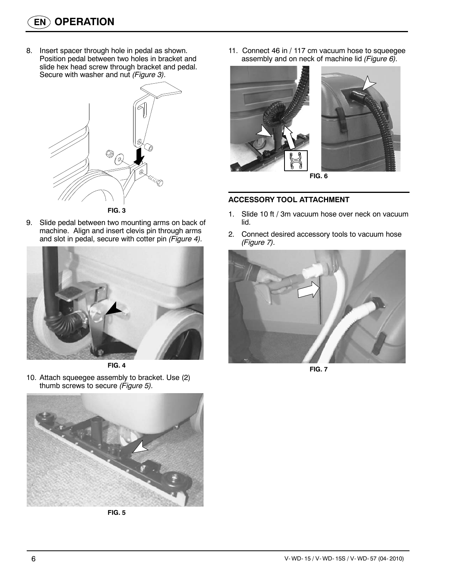8. Insert spacer through hole in pedal as shown. Position pedal between two holes in bracket and slide hex head screw through bracket and pedal. Secure with washer and nut *(Figure 3).*



9. Slide pedal between two mounting arms on back of machine. Align and insert clevis pin through arms and slot in pedal, secure with cotter pin *(Figure 4).*





10. Attach squeegee assembly to bracket. Use (2) thumb screws to secure *(Figure 5).*



**FIG. 5**

11. Connect 46 in / 117 cm vacuum hose to squeegee assembly and on neck of machine lid *(Figure 6).*





#### **ACCESSORY TOOL ATTACHMENT**

- 1. Slide 10 ft / 3m vacuum hose over neck on vacuum lid.
- 2. Connect desired accessory tools to vacuum hose *(Figure 7).*



**FIG. 7**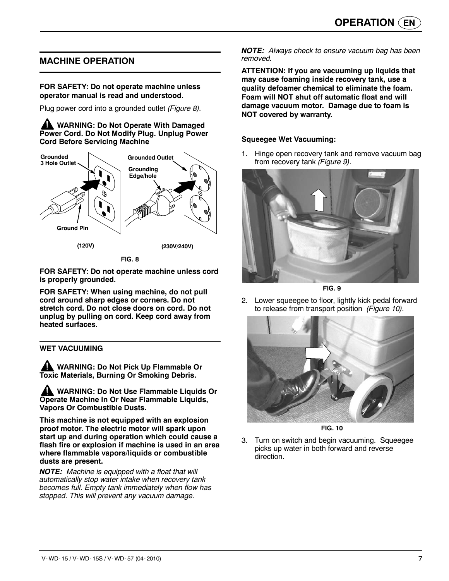## **MACHINE OPERATION**

#### **FOR SAFETY: Do not operate machine unless operator manual is read and understood.**

Plug power cord into a grounded outlet *(Figure 8).*

**WARNING: Do Not Operate With Damaged Power Cord. Do Not Modify Plug. Unplug Power Cord Before Servicing Machine**



**FOR SAFETY: Do not operate machine unless cord is properly grounded.**

**FOR SAFETY: When using machine, do not pull cord around sharp edges or corners. Do not stretch cord. Do not close doors on cord. Do not unplug by pulling on cord. Keep cord away from heated surfaces.**

#### **WET VACUUMING**

**WARNING: Do Not Pick Up Flammable Or Toxic Materials, Burning Or Smoking Debris.**

**WARNING: Do Not Use Flammable Liquids Or Operate Machine In Or Near Flammable Liquids, Vapors Or Combustible Dusts.**

**This machine is not equipped with an explosion proof motor. The electric motor will spark upon start up and during operation which could cause a flash fire or explosion if machine is used in an area where flammable vapors/liquids or combustible dusts are present.**

*NOTE: Machine is equipped with a float that will automatically stop water intake when recovery tank becomes full. Empty tank immediately when flow has stopped. This will prevent any vacuum damage.*

*NOTE: Always check to ensure vacuum bag has been removed.*

**ATTENTION: If you are vacuuming up liquids that may cause foaming inside recovery tank, use a quality defoamer chemical to eliminate the foam. Foam will NOT shut off automatic float and will damage vacuum motor. Damage due to foam is NOT covered by warranty.**

#### **Squeegee Wet Vacuuming:**

1. Hinge open recovery tank and remove vacuum bag from recovery tank *(Figure 9).*



**FIG. 9**

2. Lower squeegee to floor, lightly kick pedal forward to release from transport position *(Figure 10).*



**FIG. 10**

3. Turn on switch and begin vacuuming. Squeegee picks up water in both forward and reverse direction.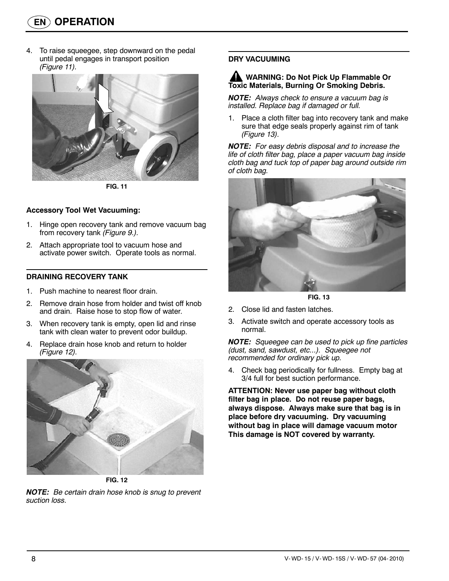4. To raise squeegee, step downward on the pedal until pedal engages in transport position *(Figure 11).*



**FIG. 11**

#### **Accessory Tool Wet Vacuuming:**

- 1. Hinge open recovery tank and remove vacuum bag from recovery tank *(Figure 9.).*
- 2. Attach appropriate tool to vacuum hose and activate power switch. Operate tools as normal.

#### **DRAINING RECOVERY TANK**

- 1. Push machine to nearest floor drain.
- 2. Remove drain hose from holder and twist off knob and drain. Raise hose to stop flow of water.
- 3. When recovery tank is empty, open lid and rinse tank with clean water to prevent odor buildup.
- 4. Replace drain hose knob and return to holder *(Figure 12).*



**FIG. 12**

*NOTE: Be certain drain hose knob is snug to prevent suction loss.*

#### **DRY VACUUMING**

#### **WARNING: Do Not Pick Up Flammable Or Toxic Materials, Burning Or Smoking Debris.**

*NOTE: Always check to ensure a vacuum bag is installed. Replace bag if damaged or full.*

1. Place a cloth filter bag into recovery tank and make sure that edge seals properly against rim of tank *(Figure 13).*

*NOTE: For easy debris disposal and to increase the life of cloth filter bag, place a paper vacuum bag inside cloth bag and tuck top of paper bag around outside rim of cloth bag.*



**FIG. 13**

- 2. Close lid and fasten latches.
- 3. Activate switch and operate accessory tools as normal.

*NOTE: Squeegee can be used to pick up fine particles (dust, sand, sawdust, etc...). Squeegee not recommended for ordinary pick up.*

4. Check bag periodically for fullness. Empty bag at 3/4 full for best suction performance.

**ATTENTION: Never use paper bag without cloth filter bag in place. Do not reuse paper bags, always dispose. Always make sure that bag is in place before dry vacuuming. Dry vacuuming without bag in place will damage vacuum motor This damage is NOT covered by warranty.**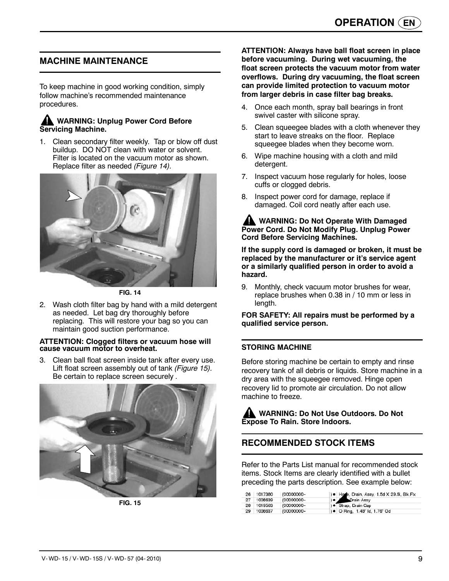## **MACHINE MAINTENANCE**

To keep machine in good working condition, simply follow machine's recommended maintenance procedures.

#### **WARNING: Unplug Power Cord Before Servicing Machine.**

1. Clean secondary filter weekly. Tap or blow off dust buildup. DO NOT clean with water or solvent. Filter is located on the vacuum motor as shown. Replace filter as needed *(Figure 14).*



**FIG. 14**

2. Wash cloth filter bag by hand with a mild detergent as needed. Let bag dry thoroughly before replacing. This will restore your bag so you can maintain good suction performance.

#### **ATTENTION: Clogged filters or vacuum hose will cause vacuum motor to overheat.**

3. Clean ball float screen inside tank after every use. Lift float screen assembly out of tank *(Figure 15).* Be certain to replace screen securely *.*



**FIG. 15**

**ATTENTION: Always have ball float screen in place before vacuuming. During wet vacuuming, the float screen protects the vacuum motor from water overflows. During dry vacuuming, the float screen can provide limited protection to vacuum motor from larger debris in case filter bag breaks.**

- 4. Once each month, spray ball bearings in front swivel caster with silicone spray.
- 5. Clean squeegee blades with a cloth whenever they start to leave streaks on the floor. Replace squeegee blades when they become worn.
- 6. Wipe machine housing with a cloth and mild detergent.
- 7. Inspect vacuum hose regularly for holes, loose cuffs or clogged debris.
- 8. Inspect power cord for damage, replace if damaged. Coil cord neatly after each use.

#### **WARNING: Do Not Operate With Damaged Power Cord. Do Not Modify Plug. Unplug Power Cord Before Servicing Machines.**

**If the supply cord is damaged or broken, it must be replaced by the manufacturer or it's service agent or a similarly qualified person in order to avoid a hazard.**

9. Monthly, check vacuum motor brushes for wear, replace brushes when 0.38 in / 10 mm or less in length.

**FOR SAFETY: All repairs must be performed by a qualified service person.**

#### **STORING MACHINE**

Before storing machine be certain to empty and rinse recovery tank of all debris or liquids. Store machine in a dry area with the squeegee removed. Hinge open recovery lid to promote air circulation. Do not allow machine to freeze.

**WARNING: Do Not Use Outdoors. Do Not Expose To Rain. Store Indoors.**

## **RECOMMENDED STOCK ITEMS**

Refer to the Parts List manual for recommended stock items. Stock Items are clearly identified with a bullet preceding the parts description. See example below:

|    | 26 1017380 | (00000000- | ) Hose, Drain, Assy, 1.5d X 29.5l, Blk, Flx |
|----|------------|------------|---------------------------------------------|
| 27 | 1008639    | (00000000- | ) ● C Drain Assy                            |
|    | 28 1019563 | (00000000- | ) · Strap, Drain Cap                        |
| 29 | 1008637    | (00000000- | ) • O Ring, 1.48" ld, 1.76" Od              |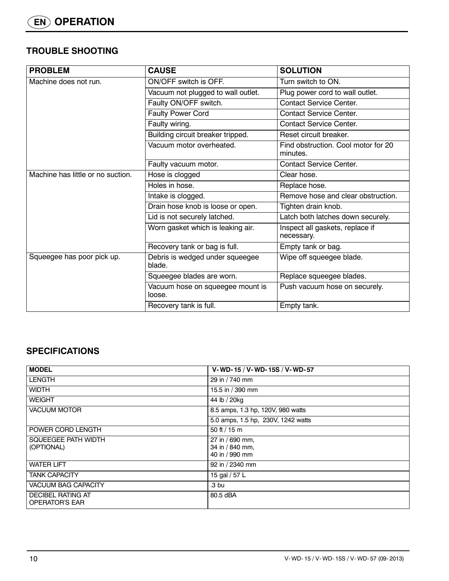## **TROUBLE SHOOTING**

| <b>PROBLEM</b>                    | <b>CAUSE</b>                               | <b>SOLUTION</b>                                 |
|-----------------------------------|--------------------------------------------|-------------------------------------------------|
| Machine does not run.             | ON/OFF switch is OFF.                      | Turn switch to ON.                              |
|                                   | Vacuum not plugged to wall outlet.         | Plug power cord to wall outlet.                 |
|                                   | Faulty ON/OFF switch.                      | <b>Contact Service Center.</b>                  |
|                                   | <b>Faulty Power Cord</b>                   | <b>Contact Service Center.</b>                  |
|                                   | Faulty wiring.                             | <b>Contact Service Center.</b>                  |
|                                   | Building circuit breaker tripped.          | Reset circuit breaker.                          |
|                                   | Vacuum motor overheated.                   | Find obstruction. Cool motor for 20<br>minutes. |
|                                   | Faulty vacuum motor.                       | <b>Contact Service Center.</b>                  |
| Machine has little or no suction. | Hose is clogged                            | Clear hose.                                     |
|                                   | Holes in hose.                             | Replace hose.                                   |
|                                   | Intake is clogged.                         | Remove hose and clear obstruction.              |
|                                   | Drain hose knob is loose or open.          | Tighten drain knob.                             |
|                                   | Lid is not securely latched.               | Latch both latches down securely.               |
|                                   | Worn gasket which is leaking air.          | Inspect all gaskets, replace if<br>necessary.   |
|                                   | Recovery tank or bag is full.              | Empty tank or bag.                              |
| Squeegee has poor pick up.        | Debris is wedged under squeegee<br>blade.  | Wipe off squeegee blade.                        |
|                                   | Squeegee blades are worn.                  | Replace squeegee blades.                        |
|                                   | Vacuum hose on squeegee mount is<br>loose. | Push vacuum hose on securely.                   |
|                                   | Recovery tank is full.                     | Empty tank.                                     |

## **SPECIFICATIONS**

| <b>MODEL</b>                                      | V-WD-15 / V-WD-15S / V-WD-57                         |
|---------------------------------------------------|------------------------------------------------------|
| <b>LENGTH</b>                                     | 29 in / 740 mm                                       |
| <b>WIDTH</b>                                      | 15.5 in / 390 mm                                     |
| <b>WEIGHT</b>                                     | 44 lb / 20kg                                         |
| <b>VACUUM MOTOR</b>                               | 8.5 amps, 1.3 hp, 120V, 980 watts                    |
|                                                   | 5.0 amps, 1.5 hp, 230V, 1242 watts                   |
| POWER CORD LENGTH                                 | 50 ft / 15 m                                         |
| SQUEEGEE PATH WIDTH<br>(OPTIONAL)                 | 27 in / 690 mm,<br>34 in / 840 mm,<br>40 in / 990 mm |
| <b>WATER LIFT</b>                                 | 92 in / 2340 mm                                      |
| <b>TANK CAPACITY</b>                              | 15 gal / 57 L                                        |
| <b>VACUUM BAG CAPACITY</b>                        | .3 <sub>bu</sub>                                     |
| <b>DECIBEL RATING AT</b><br><b>OPERATOR'S EAR</b> | 80.5 dBA                                             |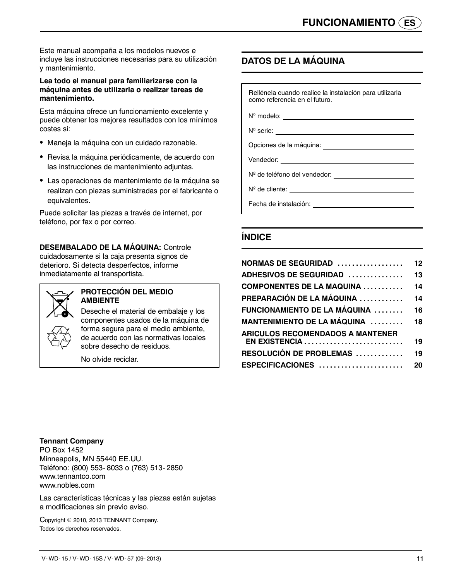Este manual acompaña a los modelos nuevos e incluye las instrucciones necesarias para su utilización y mantenimiento.

#### **Lea todo el manual para familiarizarse con la máquina antes de utilizarla o realizar tareas de mantenimiento.**

Esta máquina ofrece un funcionamiento excelente y puede obtener los mejores resultados con los mínimos costes si:

- Maneja la máquina con un cuidado razonable.
- Revisa la máquina periódicamente, de acuerdo con las instrucciones de mantenimiento adjuntas.
- Las operaciones de mantenimiento de la máquina se realizan con piezas suministradas por el fabricante o equivalentes.

Puede solicitar las piezas a través de internet, por teléfono, por fax o por correo.

**DESEMBALADO DE LA MÁQUINA:** Controle cuidadosamente si la caja presenta signos de deterioro. Si detecta desperfectos, informe inmediatamente al transportista.



#### **PROTECCIÓN DEL MEDIO AMBIENTE**

Deseche el material de embalaje y los componentes usados de la máquina de forma segura para el medio ambiente, de acuerdo con las normativas locales sobre desecho de residuos.

No olvide reciclar.

## **DATOS DE LA MÁQUINA**

Rellénela cuando realice la instalación para utilizarla como referencia en el futuro.

 $N^{\circ}$  modelo:

N<sup>o</sup> serie: \_

Opciones de la máquina:

Vendedor:

Nº de teléfono del vendedor:

N<sup>o</sup> de cliente:<br>
N<sup>o</sup> de cliente:

Fecha de instalación:

## **ÍNDICE**

| NORMAS DE SEGURIDAD                                                                                                                                                                                                   | 12 |
|-----------------------------------------------------------------------------------------------------------------------------------------------------------------------------------------------------------------------|----|
| <b>ADHESIVOS DE SEGURIDAD</b>                                                                                                                                                                                         | 13 |
| $\textsf{COMPONENTS}\ \textsf{DE}\ \textsf{LA}\ \textsf{MAQUINA}\ \dots\dots\dots\dots$                                                                                                                               | 14 |
| PREPARACIÓN DE LA MÁQUINA ………….                                                                                                                                                                                       | 14 |
| FUNCIONAMIENTO DE LA MÁQUINA                                                                                                                                                                                          | 16 |
| <b>MANTENIMIENTO DE LA MÁQUINA ...........18</b>                                                                                                                                                                      |    |
| <b>ARICULOS RECOMENDADOS A MANTENER</b>                                                                                                                                                                               |    |
| EN EXISTENCIA                                                                                                                                                                                                         | 19 |
| <b>RESOLUCIÓN DE PROBLEMAS</b>                                                                                                                                                                                        | 19 |
| $\mathsf E \mathsf S \mathsf P \mathsf E \mathsf C \mathsf I \mathsf F \mathsf I \mathsf C \mathsf A \mathsf C \mathsf I \mathsf O \mathsf N \mathsf E \mathsf S\$ . $\ldots, \ldots, \ldots, \ldots, \ldots, \ldots$ | 20 |
|                                                                                                                                                                                                                       |    |

#### **Tennant Company**

PO Box 1452 Minneapolis, MN 55440 EE.UU. Teléfono: (800) 553- 8033 o (763) 513- 2850 www.tennantco.com www.nobles.com

Las características técnicas y las piezas están sujetas a modificaciones sin previo aviso.

Copyright © 2010, 2013 TENNANT Company. Todos los derechos reservados.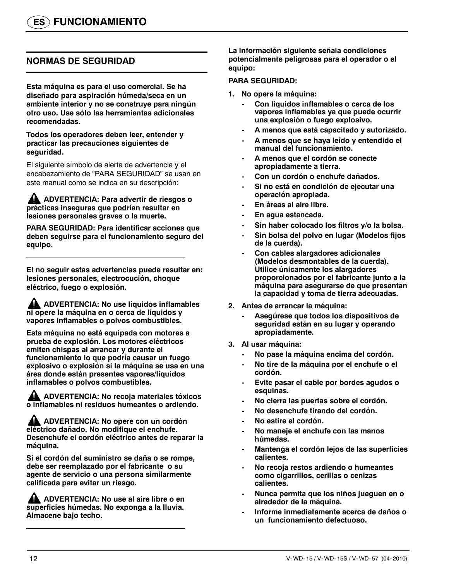## **NORMAS DE SEGURIDAD**

**Esta máquina es para el uso comercial. Se ha diseñado para aspiración húmeda/seca en un ambiente interior y no se construye para ningún otro uso. Use sólo las herramientas adicionales recomendadas.**

**Todos los operadores deben leer, entender y practicar las precauciones siguientes de seguridad.**

El siguiente símbolo de alerta de advertencia y el encabezamiento de "PARA SEGURIDAD" se usan en este manual como se indica en su descripción:

**ADVERTENCIA: Para advertir de riesgos o prácticas inseguras que podrían resultar en lesiones personales graves o la muerte.**

**PARA SEGURIDAD: Para identificar acciones que deben seguirse para el funcionamiento seguro del equipo.**

**El no seguir estas advertencias puede resultar en: lesiones personales, electrocución, choque eléctrico, fuego o explosión.**

**ADVERTENCIA: No use líquidos inflamables ni opere la máquina en o cerca de líquidos y vapores inflamables o polvos combustibles.**

**Esta máquina no está equipada con motores a prueba de explosión. Los motores eléctricos emiten chispas al arrancar y durante el funcionamiento lo que podría causar un fuego explosivo o explosión si la máquina se usa en una área donde están presentes vapores/líquidos inflamables o polvos combustibles.**

**ADVERTENCIA: No recoja materiales tóxicos o inflamables ni residuos humeantes o ardiendo.**

**ADVERTENCIA: No opere con un cordón eléctrico dañado. No modifique el enchufe. Desenchufe el cordón eléctrico antes de reparar la máquina.**

**Si el cordón del suministro se daña o se rompe, debe ser reemplazado por el fabricante o su agente de servicio o una persona similarmente calificada para evitar un riesgo.**

**ADVERTENCIA: No use al aire libre o en superficies húmedas. No exponga a la lluvia. Almacene bajo techo.**

**La información siguiente señala condiciones potencialmente peligrosas para el operador o el equipo:**

#### **PARA SEGURIDAD:**

- **1. No opere la máquina:**
	- **Con líquidos inflamables o cerca de los vapores inflamables ya que puede ocurrir una explosión o fuego explosivo.**
	- **A menos que está capacitado y autorizado.**
	- **A menos que se haya leído y entendido el manual del funcionamiento.**
	- **A menos que el cordón se conecte apropiadamente a tierra.**
	- **Con un cordón o enchufe dañados.**
	- **Si no está en condición de ejecutar una operación apropiada.**
	- **En áreas al aire libre.**
	- **En agua estancada.**
	- **Sin haber colocado los filtros y/o la bolsa.**
	- **Sin bolsa del polvo en lugar (Modelos fijos de la cuerda).**
	- **Con cables alargadores adicionales (Modelos desmontables de la cuerda). Utilice únicamente los alargadores proporcionados por el fabricante junto a la máquina para asegurarse de que presentan la capacidad y toma de tierra adecuadas.**
- **2. Antes de arrancar la máquina:**
	- **Asegúrese que todos los dispositivos de seguridad están en su lugar y operando apropiadamente.**
- **3. Al usar máquina:**
	- **No pase la máquina encima del cordón.**
	- **No tire de la máquina por el enchufe o el cordón.**
	- **Evite pasar el cable por bordes agudos o esquinas.**
	- **No cierra las puertas sobre el cordón.**
	- **No desenchufe tirando del cordón.**
	- **No estire el cordón.**
	- **No maneje el enchufe con las manos húmedas.**
	- **Mantenga el cordón lejos de las superficies calientes.**
	- **No recoja restos ardiendo o humeantes como cigarrillos, cerillas o cenizas calientes.**
	- **Nunca permita que los niños jueguen en o alrededor de la máquina.**
	- **Informe inmediatamente acerca de daños o un funcionamiento defectuoso.**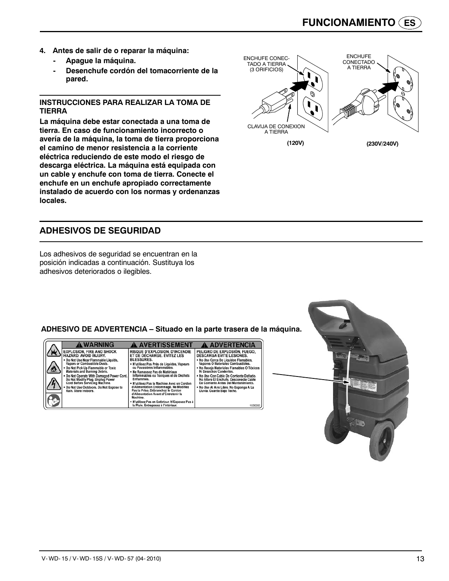- **4. Antes de salir de o reparar la máquina:**
	- **Apague la máquina.**
	- **Desenchufe cordón del tomacorriente de la pared.**

#### **INSTRUCCIONES PARA REALIZAR LA TOMA DE TIERRA**

**La máquina debe estar conectada a una toma de tierra. En caso de funcionamiento incorrecto o avería de la máquina, la toma de tierra proporciona el camino de menor resistencia a la corriente eléctrica reduciendo de este modo el riesgo de descarga eléctrica. La máquina está equipada con un cable y enchufe con toma de tierra. Conecte el enchufe en un enchufe apropiado correctamente instalado de acuerdo con los normas y ordenanzas locales.**



Los adhesivos de seguridad se encuentran en la posición indicadas a continuación. Sustituya los adhesivos deteriorados o ilegibles.





V- WD- 15 / V- WD- 15S / V- WD- 57 (04- 2010) 13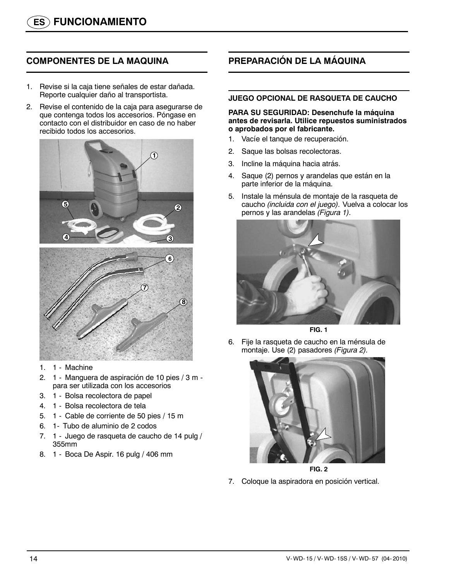## **COMPONENTES DE LA MAQUINA**

- 1. Revise si la caja tiene señales de estar dañada. Reporte cualquier daño al transportista.
- 2. Revise el contenido de la caja para asegurarse de que contenga todos los accesorios. Póngase en contacto con el distribuidor en caso de no haber recibido todos los accesorios.



- 1. 1 Machine
- 2. 1 Manguera de aspiración de 10 pies / 3 m para ser utilizada con los accesorios
- 3. 1 Bolsa recolectora de papel
- 4. 1 Bolsa recolectora de tela
- 5. 1 Cable de corriente de 50 pies / 15 m
- 6. 1- Tubo de aluminio de 2 codos
- 7. 1 Juego de rasqueta de caucho de 14 pulg / 355mm
- 8. 1 Boca De Aspir. 16 pulg / 406 mm

## **PREPARACIÓN DE LA MÁQUINA**

#### **JUEGO OPCIONAL DE RASQUETA DE CAUCHO**

#### **PARA SU SEGURIDAD: Desenchufe la máquina antes de revisarla. Utilice repuestos suministrados o aprobados por el fabricante.**

- 1. Vacíe el tanque de recuperación.
- 2. Saque las bolsas recolectoras.
- 3. Incline la máquina hacia atrás.
- 4. Saque (2) pernos y arandelas que están en la parte inferior de la máquina.
- 5. Instale la ménsula de montaje de la rasqueta de caucho *(incluida con el juego).* Vuelva a colocar los pernos y las arandelas *(Figura 1).*





6. Fije la rasqueta de caucho en la ménsula de montaje. Use (2) pasadores *(Figura 2).*



**FIG. 2**

7. Coloque la aspiradora en posición vertical.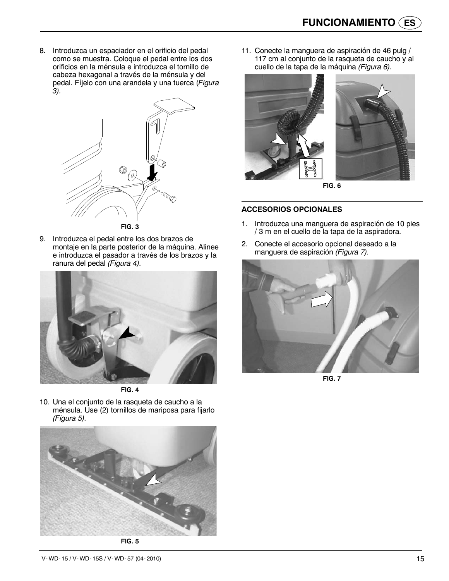8. Introduzca un espaciador en el orificio del pedal como se muestra. Coloque el pedal entre los dos orificios en la ménsula e introduzca el tornillo de cabeza hexagonal a través de la ménsula y del pedal. Fíjelo con una arandela y una tuerca (*Figura 3).*



9. Introduzca el pedal entre los dos brazos de montaje en la parte posterior de la máquina. Alinee e introduzca el pasador a través de los brazos y la ranura del pedal *(Figura 4).*



**FIG. 4**

10. Una el conjunto de la rasqueta de caucho a la ménsula. Use (2) tornillos de mariposa para fijarlo *(Figura 5).*



**FIG. 5**

11. Conecte la manguera de aspiración de 46 pulg / 117 cm al conjunto de la rasqueta de caucho y al cuello de la tapa de la máquina *(Figura 6).*



**FIG. 6**

#### **ACCESORIOS OPCIONALES**

- 1. Introduzca una manguera de aspiración de 10 pies / 3 m en el cuello de la tapa de la aspiradora.
- 2. Conecte el accesorio opcional deseado a la manguera de aspiración *(Figura 7).*



**FIG. 7**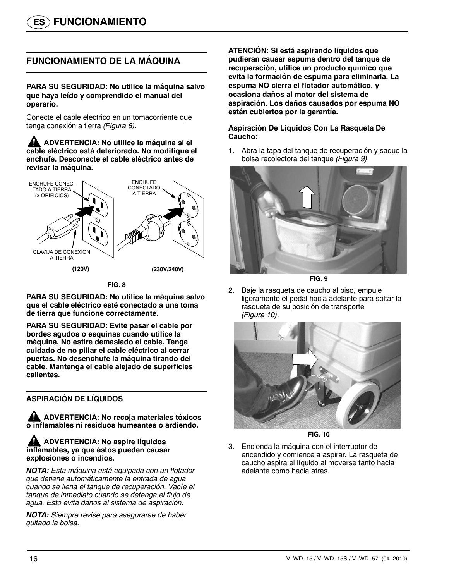## **FUNCIONAMIENTO DE LA MÁQUINA**

**PARA SU SEGURIDAD: No utilice la máquina salvo que haya leído y comprendido el manual del operario.**

Conecte el cable eléctrico en un tomacorriente que tenga conexión a tierra *(Figura 8).*

**ADVERTENCIA: No utilice la máquina si el cable eléctrico está deteriorado. No modifique el enchufe. Desconecte el cable eléctrico antes de revisar la máquina.**



**FIG. 8**

**PARA SU SEGURIDAD: No utilice la máquina salvo que el cable eléctrico esté conectado a una toma de tierra que funcione correctamente.**

**PARA SU SEGURIDAD: Evite pasar el cable por bordes agudos o esquinas cuando utilice la máquina. No estire demasiado el cable. Tenga cuidado de no pillar el cable eléctrico al cerrar puertas. No desenchufe la máquina tirando del cable. Mantenga el cable alejado de superficies calientes.**

#### **ASPIRACIÓN DE LÍQUIDOS**

**ADVERTENCIA: No recoja materiales tóxicos o inflamables ni residuos humeantes o ardiendo.**

#### **AND ADVERTENCIA: No aspire líquidos inflamables, ya que éstos pueden causar explosiones o incendios.**

*NOTA: Esta máquina está equipada con un flotador que detiene automáticamente la entrada de agua cuando se llena el tanque de recuperación. Vacíe el tanque de inmediato cuando se detenga el flujo de agua. Esto evita daños al sistema de aspiración.*

*NOTA: Siempre revise para asegurarse de haber quitado la bolsa.*

**ATENCIÓN: Si está aspirando líquidos que pudieran causar espuma dentro del tanque de recuperación, utilice un producto químico que evita la formación de espuma para eliminarla. La espuma NO cierra el flotador automático, y ocasiona daños al motor del sistema de aspiración. Los daños causados por espuma NO están cubiertos por la garantía.**

#### **Aspiración De Líquidos Con La Rasqueta De Caucho:**

1. Abra la tapa del tanque de recuperación y saque la bolsa recolectora del tanque *(Figura 9).*





2. Baje la rasqueta de caucho al piso, empuje ligeramente el pedal hacia adelante para soltar la rasqueta de su posición de transporte *(Figura 10).*



**FIG. 10**

3. Encienda la máquina con el interruptor de encendido y comience a aspirar. La rasqueta de caucho aspira el líquido al moverse tanto hacia adelante como hacia atrás.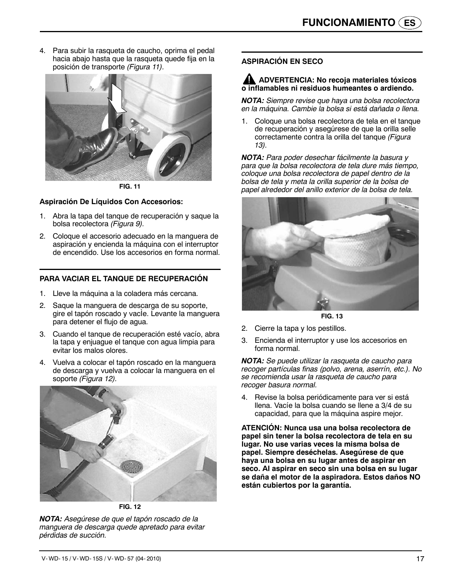4. Para subir la rasqueta de caucho, oprima el pedal hacia abajo hasta que la rasqueta quede fija en la posición de transporte *(Figura 11).*



**FIG. 11**

#### **Aspiración De Líquidos Con Accesorios:**

- 1. Abra la tapa del tanque de recuperación y saque la bolsa recolectora *(Figura 9).*
- 2. Coloque el accesorio adecuado en la manguera de aspiración y encienda la máquina con el interruptor de encendido. Use los accesorios en forma normal.

#### **PARA VACIAR EL TANQUE DE RECUPERACIÓN**

- 1. Lleve la máquina a la coladera más cercana.
- 2. Saque la manguera de descarga de su soporte, gire el tapón roscado y vacie. Levante la manguera para detener el flujo de agua.
- 3. Cuando el tanque de recuperación esté vacío, abra la tapa y enjuague el tanque con agua limpia para evitar los malos olores.
- 4. Vuelva a colocar el tapón roscado en la manguera de descarga y vuelva a colocar la manguera en el soporte *(Figura 12).*



**FIG. 12**

*NOTA: Asegúrese de que el tapón roscado de la manguera de descarga quede apretado para evitar pérdidas de succión.*

## **ASPIRACIÓN EN SECO**

#### **ADVERTENCIA: No recoja materiales tóxicos o inflamables ni residuos humeantes o ardiendo.**

*NOTA: Siempre revise que haya una bolsa recolectora en la máquina. Cambie la bolsa si está dañada o llena.*

1. Coloque una bolsa recolectora de tela en el tanque de recuperación y asegúrese de que la orilla selle correctamente contra la orilla del tanque *(Figura 13).*

*NOTA: Para poder desechar fácilmente la basura y para que la bolsa recolectora de tela dure más tiempo, coloque una bolsa recolectora de papel dentro de la bolsa de tela y meta la orilla superior de la bolsa de papel alrededor del anillo exterior de la bolsa de tela.*



**FIG. 13**

- 2. Cierre la tapa y los pestillos.
- 3. Encienda el interruptor y use los accesorios en forma normal.

*NOTA: Se puede utilizar la rasqueta de caucho para recoger partículas finas (polvo, arena, aserrín, etc.). No se recomienda usar la rasqueta de caucho para recoger basura normal.*

4. Revise la bolsa periódicamente para ver si está llena. Vacíe la bolsa cuando se llene a 3/4 de su capacidad, para que la máquina aspire mejor.

**ATENCIÓN: Nunca usa una bolsa recolectora de papel sin tener la bolsa recolectora de tela en su lugar. No use varias veces la misma bolsa de papel. Siempre deséchelas. Asegúrese de que haya una bolsa en su lugar antes de aspirar en seco. Al aspirar en seco sin una bolsa en su lugar se daña el motor de la aspiradora. Estos daños NO están cubiertos por la garantía.**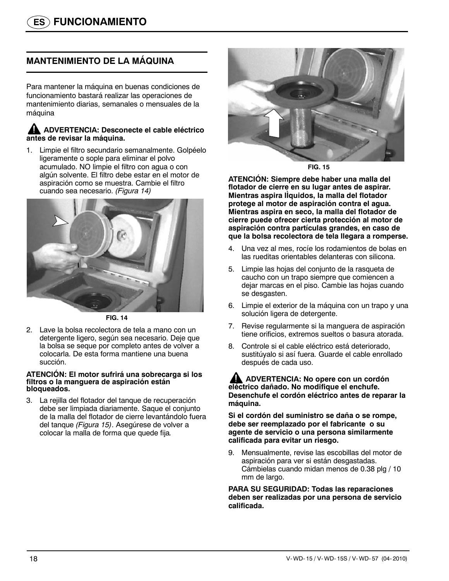## **MANTENIMIENTO DE LA MÁQUINA**

Para mantener la máquina en buenas condiciones de funcionamiento bastará realizar las operaciones de mantenimiento diarias, semanales o mensuales de la máquina

#### **ADVERTENCIA: Desconecte el cable eléctrico antes de revisar la máquina.**

1. Limpie el filtro secundario semanalmente. Golpéelo ligeramente o sople para eliminar el polvo acumulado. NO limpie el filtro con agua o con algún solvente. El filtro debe estar en el motor de aspiración como se muestra. Cambie el filtro cuando sea necesario. *(Figura 14)*



**FIG. 14**

2. Lave la bolsa recolectora de tela a mano con un detergente ligero, según sea necesario. Deje que la bolsa se seque por completo antes de volver a colocarla. De esta forma mantiene una buena succión.

#### **ATENCIÓN: El motor sufrirá una sobrecarga si los filtros o la manguera de aspiración están bloqueados.**

3. La rejilla del flotador del tanque de recuperación debe ser limpiada diariamente. Saque el conjunto de la malla del flotador de cierre levantándolo fuera del tanque *(Figura 15)*. Asegúrese de volver a colocar la malla de forma que quede fija*.*



**FIG. 15**

**ATENCIÓN: Siempre debe haber una malla del flotador de cierre en su lugar antes de aspirar. Mientras aspira lÌquidos, la malla del flotador protege al motor de aspiración contra el agua. Mientras aspira en seco, la malla del flotador de cierre puede ofrecer cierta protección al motor de aspiración contra partículas grandes, en caso de que la bolsa recolectora de tela llegara a romperse.**

- 4. Una vez al mes, rocíe los rodamientos de bolas en las rueditas orientables delanteras con silicona.
- 5. Limpie las hojas del conjunto de la rasqueta de caucho con un trapo siempre que comiencen a dejar marcas en el piso. Cambie las hojas cuando se desgasten.
- 6. Limpie el exterior de la máquina con un trapo y una solución ligera de detergente.
- 7. Revise regularmente si la manguera de aspiración tiene orificios, extremos sueltos o basura atorada.
- 8. Controle si el cable eléctrico está deteriorado, sustitúyalo si así fuera. Guarde el cable enrollado después de cada uso.

**ADVERTENCIA: No opere con un cordón eléctrico dañado. No modifique el enchufe. Desenchufe el cordón eléctrico antes de reparar la máquina.**

**Si el cordón del suministro se daña o se rompe, debe ser reemplazado por el fabricante o su agente de servicio o una persona similarmente calificada para evitar un riesgo.**

9. Mensualmente, revise las escobillas del motor de aspiración para ver si están desgastadas. Cámbielas cuando midan menos de 0.38 plg / 10 mm de largo.

**PARA SU SEGURIDAD: Todas las reparaciones deben ser realizadas por una persona de servicio calificada.**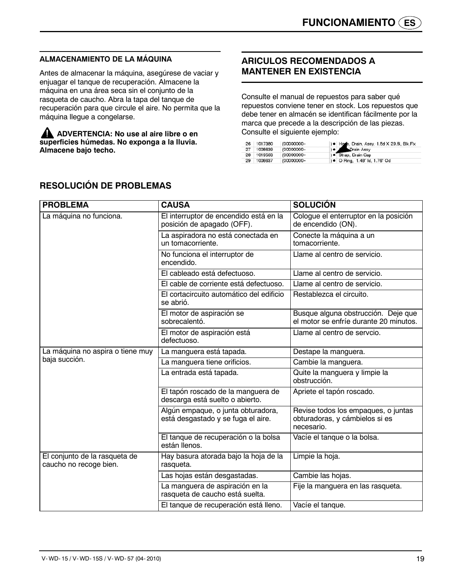### **ALMACENAMIENTO DE LA MÁQUINA**

Antes de almacenar la máquina, asegúrese de vaciar y enjuagar el tanque de recuperación. Almacene la máquina en una área seca sin el conjunto de la rasqueta de caucho. Abra la tapa del tanque de recuperación para que circule el aire. No permita que la máquina llegue a congelarse.

**ADVERTENCIA: No use al aire libre o en superficies húmedas. No exponga a la lluvia. Almacene bajo techo.**

## **ARICULOS RECOMENDADOS A MANTENER EN EXISTENCIA**

Consulte el manual de repuestos para saber qué repuestos conviene tener en stock. Los repuestos que debe tener en almacén se identifican fácilmente por la marca que precede a la descripción de las piezas. Consulte el siguiente ejemplo:

| 26 | 1017380 | (00000000- | ) . Hone, Drain, Assy, 1.5d X 29.5l, Blk, Flx |
|----|---------|------------|-----------------------------------------------|
| 27 | 1008639 | (00000000- | $\bullet$<br>Drain Assy                       |
| 28 | 1019563 | (00000000- | ) · Strap, Drain Cap                          |
| 29 | 1008637 | (00000000- | ) • O Ring, 1.48" Id, 1.76" Od                |

| <b>PROBLEMA</b>                                         | <b>CAUSA</b>                                                             | <b>SOLUCIÓN</b>                                                                     |
|---------------------------------------------------------|--------------------------------------------------------------------------|-------------------------------------------------------------------------------------|
| La máquina no funciona.                                 | El interruptor de encendido está en la<br>posición de apagado (OFF).     | Cologue el enterruptor en la posición<br>de encendido (ON).                         |
|                                                         | La aspiradora no está conectada en<br>un tomacorriente.                  | Conecte la máquina a un<br>tomacorriente.                                           |
|                                                         | No funciona el interruptor de<br>encendido.                              | Llame al centro de servicio.                                                        |
|                                                         | El cableado está defectuoso.                                             | Llame al centro de servicio.                                                        |
|                                                         | El cable de corriente está defectuoso.                                   | Llame al centro de servicio.                                                        |
|                                                         | El cortacircuito automático del edificio<br>se abrió.                    | Restablezca el circuito.                                                            |
|                                                         | El motor de aspiración se<br>sobrecalentó.                               | Busque alguna obstrucción. Deje que<br>el motor se enfríe durante 20 minutos.       |
|                                                         | El motor de aspiración está<br>defectuoso.                               | Llame al centro de servcio.                                                         |
| La máquina no aspira o tiene muy                        | La manguera está tapada.                                                 | Destape la manguera.                                                                |
| baja succión.                                           | La manguera tiene orificios.                                             | Cambie la manguera.                                                                 |
|                                                         | La entrada está tapada.                                                  | Quite la manguera y limpie la<br>obstrucción.                                       |
|                                                         | El tapón roscado de la manguera de<br>descarga está suelto o abierto.    | Apriete el tapón roscado.                                                           |
|                                                         | Algún empaque, o junta obturadora,<br>está desgastado y se fuga el aire. | Revise todos los empaques, o juntas<br>obturadoras, y cámbielos si es<br>necesario. |
|                                                         | El tanque de recuperación o la bolsa<br>están llenos.                    | Vacíe el tanque o la bolsa.                                                         |
| El conjunto de la rasqueta de<br>caucho no recoge bien. | Hay basura atorada bajo la hoja de la<br>rasqueta.                       | Limpie la hoja.                                                                     |
|                                                         | Las hojas están desgastadas.                                             | Cambie las hojas.                                                                   |
|                                                         | La manguera de aspiración en la<br>rasqueta de caucho está suelta.       | Fije la manguera en las rasqueta.                                                   |
|                                                         | El tanque de recuperación está lleno.                                    | Vacíe el tanque.                                                                    |

## **RESOLUCIÓN DE PROBLEMAS**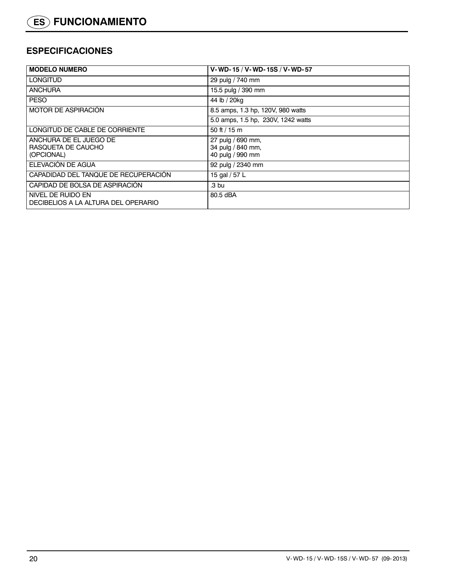## **ESPECIFICACIONES**

| <b>I MODELO NUMERO</b>                                     | V-WD-15 / V-WD-15S / V-WD-57                               |
|------------------------------------------------------------|------------------------------------------------------------|
| LONGITUD                                                   | 29 pulg / 740 mm                                           |
| <b>ANCHURA</b>                                             | 15.5 pulg / 390 mm                                         |
| <b>PESO</b>                                                | 44 lb / 20kg                                               |
| I MOTOR DE ASPIRACION                                      | 8.5 amps, 1.3 hp, 120V, 980 watts                          |
|                                                            | 5.0 amps, 1.5 hp, 230V, 1242 watts                         |
| LONGITUD DE CABLE DE CORRIENTE                             | 50 ft / 15 m                                               |
| ANCHURA DE EL JUEGO DE<br>RASQUETA DE CAUCHO<br>(OPCIONAL) | 27 pulg / 690 mm,<br>34 pulg / 840 mm,<br>40 pulg / 990 mm |
| ELEVACIÓN DE AGUA                                          | 92 pulg / 2340 mm                                          |
| CAPADIDAD DEL TANQUE DE RECUPERACION                       | 15 gal / 57 L                                              |
| CAPIDAD DE BOLSA DE ASPIRACION                             | .3 bu                                                      |
| NIVEL DE RUIDO EN<br>DECIBELIOS A LA ALTURA DEL OPERARIO   | 80.5 dBA                                                   |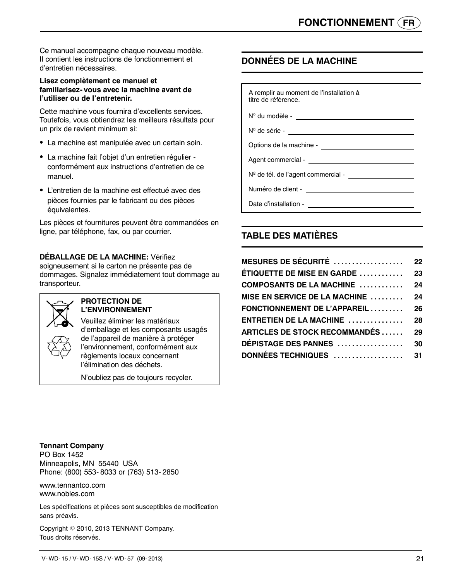Ce manuel accompagne chaque nouveau modèle. Il contient les instructions de fonctionnement et d'entretien nécessaires.

#### **Lisez complètement ce manuel et familiarisez- vous avec la machine avant de l'utiliser ou de l'entretenir.**

Cette machine vous fournira d'excellents services. Toutefois, vous obtiendrez les meilleurs résultats pour un prix de revient minimum si:

- La machine est manipulée avec un certain soin.
- La machine fait l'objet d'un entretien régulier conformément aux instructions d'entretien de ce manuel.
- L'entretien de la machine est effectué avec des pièces fournies par le fabricant ou des pièces équivalentes.

Les pièces et fournitures peuvent être commandées en ligne, par téléphone, fax, ou par courrier.

#### **DÉBALLAGE DE LA MACHINE:** Vérifiez

soigneusement si le carton ne présente pas de dommages. Signalez immédiatement tout dommage au transporteur.



#### **PROTECTION DE L'ENVIRONNEMENT**

Veuillez éliminer les matériaux d'emballage et les composants usagés de l'appareil de manière à protéger l'environnement, conformément aux règlements locaux concernant l'élimination des déchets.

N'oubliez pas de toujours recycler.

## **DONNÉES DE LA MACHINE**

| A remplir au moment de l'installation à<br>titre de référence. |
|----------------------------------------------------------------|
| $N^{\circ}$ du modèle -                                        |
| $N^{\circ}$ de série -                                         |

Options de la machine -

Agent commercial -

Nº de tél. de l'agent commercial -

Numéro de client -

Date d'installation -

## **TABLE DES MATIÈRES**

| <b>MESURES DE SÉCURITÉ</b> $\ldots\ldots\ldots\ldots\ldots\ldots\qquad$ 22 |    |
|----------------------------------------------------------------------------|----|
| ÉTIQUETTE DE MISE EN GARDE 23                                              |    |
| COMPOSANTS DE LA MACHINE  24                                               |    |
| MISE EN SERVICE DE LA MACHINE  24                                          |    |
| FONCTIONNEMENT DE L'APPAREIL  26                                           |    |
| $ENTRETIEN DE LA MACHINE$                                                  | 28 |
| ARTICLES DE STOCK RECOMMANDÉS                                              | 29 |
| <b>DÉPISTAGE DES PANNES</b>                                                | 30 |
| DONNÉES TECHNIQUES  31                                                     |    |

**Tennant Company**

PO Box 1452 Minneapolis, MN 55440 USA Phone: (800) 553- 8033 or (763) 513- 2850

www.tennantco.com www.nobles.com

Les spécifications et pièces sont susceptibles de modification sans préavis.

Copyright © 2010, 2013 TENNANT Company. Tous droits réservés.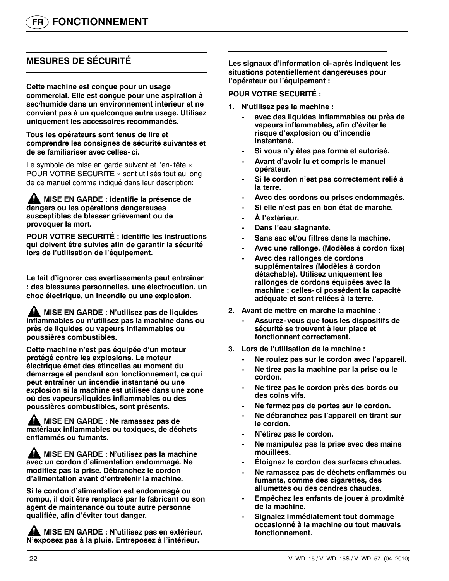## **MESURES DE SÉCURITÉ**

**Cette machine est conçue pour un usage commercial. Elle est conçue pour une aspiration à sec/humide dans un environnement intérieur et ne convient pas à un quelconque autre usage. Utilisez uniquement les accessoires recommandés.**

**Tous les opérateurs sont tenus de lire et comprendre les consignes de sécurité suivantes et de se familiariser avec celles- ci.**

Le symbole de mise en garde suivant et l'en- tête « POUR VOTRE SECURITE » sont utilisés tout au long de ce manuel comme indiqué dans leur description:

Æ **MISE EN GARDE : identifie la présence de dangers ou les opérations dangereuses susceptibles de blesser grièvement ou de provoquer la mort.**

**POUR VOTRE SECURITÉ : identifie les instructions qui doivent être suivies afin de garantir la sécurité lors de l'utilisation de l'équipement.**

**Le fait d'ignorer ces avertissements peut entraîner : des blessures personnelles, une électrocution, un choc électrique, un incendie ou une explosion.**

**MISE EN GARDE : N'utilisez pas de liquides inflammables ou n'utilisez pas la machine dans ou près de liquides ou vapeurs inflammables ou poussières combustibles.**

**Cette machine n'est pas équipée d'un moteur protégé contre les explosions. Le moteur électrique émet des étincelles au moment du démarrage et pendant son fonctionnement, ce qui peut entraîner un incendie instantané ou une explosion si la machine est utilisée dans une zone où des vapeurs/liquides inflammables ou des poussières combustibles, sont présents.**

**MISE EN GARDE : Ne ramassez pas de matériaux inflammables ou toxiques, de déchets enflammés ou fumants.**

**ANDISE EN GARDE : N'utilisez pas la machine avec un cordon d'alimentation endommagé. Ne modifiez pas la prise. Débranchez le cordon d'alimentation avant d'entretenir la machine.**

**Si le cordon d'alimentation est endommagé ou rompu, il doit être remplacé par le fabricant ou son agent de maintenance ou toute autre personne qualifiée, afin d'éviter tout danger.**

**MISE EN GARDE : N'utilisez pas en extérieur. N'exposez pas à la pluie. Entreposez à l'intérieur.**

**Les signaux d'information ci- après indiquent les situations potentiellement dangereuses pour l'opérateur ou l'équipement :**

#### **POUR VOTRE SECURITÉ :**

- **1. N'utilisez pas la machine :**
	- **avec des liquides inflammables ou près de vapeurs inflammables, afin d'éviter le risque d'explosion ou d'incendie instantané.**
	- **Si vous n'y êtes pas formé et autorisé.**
	- **Avant d'avoir lu et compris le manuel opérateur.**
	- **Si le cordon n'est pas correctement relié à la terre.**
	- **Avec des cordons ou prises endommagés.**
	- **Si elle n'est pas en bon état de marche.**
	- **À l'extérieur.**
	- **Dans l'eau stagnante.**
	- **Sans sac et/ou filtres dans la machine.**
	- **Avec une rallonge. (Modèles à cordon fixe)**
	- **Avec des rallonges de cordons supplémentaires (Modèles à cordon détachable). Utilisez uniquement les rallonges de cordons équipées avec la machine ; celles- ci possèdent la capacité adéquate et sont reliées à la terre.**
- **2. Avant de mettre en marche la machine :**
	- **Assurez- vous que tous les dispositifs de sécurité se trouvent à leur place et fonctionnent correctement.**
- **3. Lors de l'utilisation de la machine :**
	- **Ne roulez pas sur le cordon avec l'appareil.**
	- **Ne tirez pas la machine par la prise ou le cordon.**
	- **Ne tirez pas le cordon près des bords ou des coins vifs.**
	- **Ne fermez pas de portes sur le cordon.**
	- **Ne débranchez pas l'appareil en tirant sur le cordon.**
	- **N'étirez pas le cordon.**
	- **Ne manipulez pas la prise avec des mains mouillées.**
	- **Éloignez le cordon des surfaces chaudes.**
	- **Ne ramassez pas de déchets enflammés ou fumants, comme des cigarettes, des allumettes ou des cendres chaudes.**
	- **Empêchez les enfants de jouer à proximité de la machine.**
	- **Signalez immédiatement tout dommage occasionné à la machine ou tout mauvais fonctionnement.**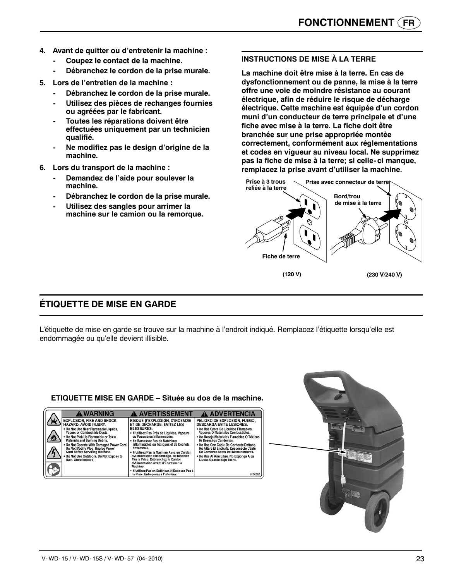- **4. Avant de quitter ou d'entretenir la machine :**
	- **Coupez le contact de la machine.**
	- **Débranchez le cordon de la prise murale.**
- **5. Lors de l'entretien de la machine :**
	- **Débranchez le cordon de la prise murale.**
	- **Utilisez des pièces de rechanges fournies ou agréées par le fabricant.**
	- **Toutes les réparations doivent être effectuées uniquement par un technicien qualifié.**
	- **Ne modifiez pas le design d'origine de la machine.**
- **6. Lors du transport de la machine :**
	- **Demandez de l'aide pour soulever la machine.**
	- **Débranchez le cordon de la prise murale.**
	- **Utilisez des sangles pour arrimer la machine sur le camion ou la remorque.**

#### **INSTRUCTIONS DE MISE À LA TERRE**

**La machine doit être mise à la terre. En cas de dysfonctionnement ou de panne, la mise à la terre offre une voie de moindre résistance au courant électrique, afin de réduire le risque de décharge électrique. Cette machine est équipée d'un cordon muni d'un conducteur de terre principale et d'une fiche avec mise à la terre. La fiche doit être branchée sur une prise appropriée montée correctement, conformément aux réglementations et codes en vigueur au niveau local. Ne supprimez pas la fiche de mise à la terre; si celle- ci manque, remplacez la prise avant d'utiliser la machine.**



## **ÉTIQUETTE DE MISE EN GARDE**

L'étiquette de mise en garde se trouve sur la machine à l'endroit indiqué. Remplacez l'étiquette lorsqu'elle est endommagée ou qu'elle devient illisible.



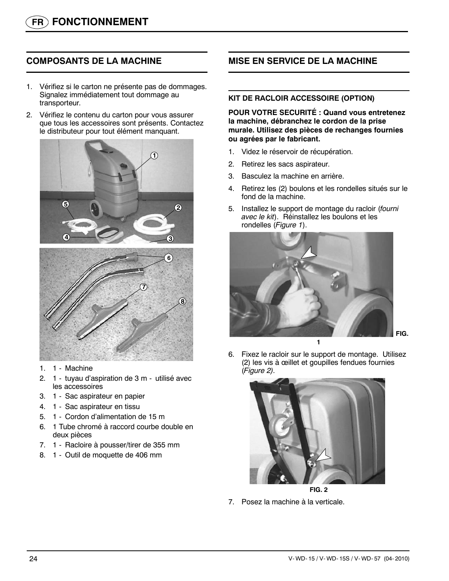## **COMPOSANTS DE LA MACHINE**

- 1. Vérifiez si le carton ne présente pas de dommages. Signalez immédiatement tout dommage au transporteur.
- 2. Vérifiez le contenu du carton pour vous assurer que tous les accessoires sont présents. Contactez le distributeur pour tout élément manquant.



- 1. 1 Machine
- 2. 1 tuyau d'aspiration de 3 m utilisé avec les accessoires
- 3. 1 Sac aspirateur en papier
- 4. 1 Sac aspirateur en tissu
- 5. 1 Cordon d'alimentation de 15 m
- 6. 1 Tube chromé à raccord courbe double en deux pièces
- 7. 1 Racloire à pousser/tirer de 355 mm
- 8. 1 Outil de moquette de 406 mm

## **MISE EN SERVICE DE LA MACHINE**

#### **KIT DE RACLOIR ACCESSOIRE (OPTION)**

**POUR VOTRE SECURITÉ : Quand vous entretenez la machine, débranchez le cordon de la prise murale. Utilisez des pièces de rechanges fournies ou agrées par le fabricant.**

- 1. Videz le réservoir de récupération.
- 2. Retirez les sacs aspirateur.
- 3. Basculez la machine en arrière.
- 4. Retirez les (2) boulons et les rondelles situés sur le fond de la machine.
- 5. Installez le support de montage du racloir (*fourni avec le kit*). Réinstallez les boulons et les rondelles (*Figure 1*).



6. Fixez le racloir sur le support de montage. Utilisez (2) les vis à œillet et goupilles fendues fournies (*Figure 2).*



**FIG. 2**

7. Posez la machine à la verticale.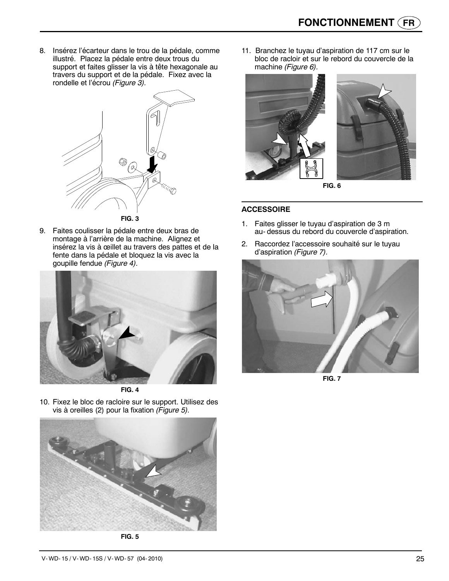8. Insérez l'écarteur dans le trou de la pédale, comme illustré. Placez la pédale entre deux trous du support et faites glisser la vis à tête hexagonale au travers du support et de la pédale. Fixez avec la rondelle et l'écrou *(Figure 3).*



9. Faites coulisser la pédale entre deux bras de montage à l'arrière de la machine. Alignez et insérez la vis à œillet au travers des pattes et de la fente dans la pédale et bloquez la vis avec la goupille fendue *(Figure 4).*



**FIG. 4**

10. Fixez le bloc de racloire sur le support. Utilisez des vis à oreilles (2) pour la fixation *(Figure 5).*



**FIG. 5**

11. Branchez le tuyau d'aspiration de 117 cm sur le bloc de racloir et sur le rebord du couvercle de la machine *(Figure 6).*



**FIG. 6**

#### **ACCESSOIRE**

- 1. Faites glisser le tuyau d'aspiration de 3 m au- dessus du rebord du couvercle d'aspiration.
- 2. Raccordez l'accessoire souhaité sur le tuyau d'aspiration *(Figure 7).*



**FIG. 7**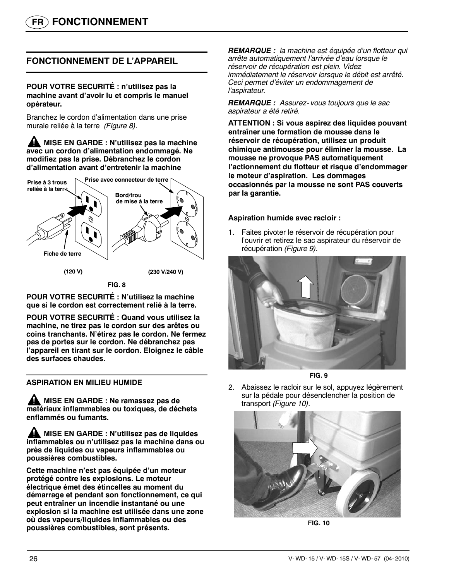## **FONCTIONNEMENT DE L'APPAREIL**

#### **POUR VOTRE SECURITÉ : n'utilisez pas la machine avant d'avoir lu et compris le manuel opérateur.**

Branchez le cordon d'alimentation dans une prise murale reliée à la terre *(Figure 8).*

**MISE EN GARDE : N'utilisez pas la machine avec un cordon d'alimentation endommagé. Ne modifiez pas la prise. Débranchez le cordon d'alimentation avant d'entretenir la machine**



**FIG. 8**

**POUR VOTRE SECURITÉ : N'utilisez la machine que si le cordon est correctement relié à la terre.**

**POUR VOTRE SECURITÉ : Quand vous utilisez la machine, ne tirez pas le cordon sur des arêtes ou coins tranchants. N'étirez pas le cordon. Ne fermez pas de portes sur le cordon. Ne débranchez pas l'appareil en tirant sur le cordon. Eloignez le câble des surfaces chaudes.**

#### **ASPIRATION EN MILIEU HUMIDE**

**A** MISE EN GARDE : Ne ramassez pas de **matériaux inflammables ou toxiques, de déchets enflammés ou fumants.**

**MISE EN GARDE : N'utilisez pas de liquides inflammables ou n'utilisez pas la machine dans ou près de liquides ou vapeurs inflammables ou poussières combustibles.**

**Cette machine n'est pas équipée d'un moteur protégé contre les explosions. Le moteur électrique émet des étincelles au moment du démarrage et pendant son fonctionnement, ce qui peut entraîner un incendie instantané ou une explosion si la machine est utilisée dans une zone où des vapeurs/liquides inflammables ou des poussières combustibles, sont présents.**

*REMARQUE : la machine est équipée d'un flotteur qui arrête automatiquement l'arrivée d'eau lorsque le réservoir de récupération est plein. Videz immédiatement le réservoir lorsque le débit est arrêté. Ceci permet d'éviter un endommagement de l'aspirateur.*

*REMARQUE : Assurez- vous toujours que le sac aspirateur a été retiré.*

**ATTENTION : Si vous aspirez des liquides pouvant entraîner une formation de mousse dans le réservoir de récupération, utilisez un produit chimique antimousse pour éliminer la mousse. La mousse ne provoque PAS automatiquement l'actionnement du flotteur et risque d'endommager le moteur d'aspiration. Les dommages occasionnés par la mousse ne sont PAS couverts par la garantie.**

#### **Aspiration humide avec racloir :**

1. Faites pivoter le réservoir de récupération pour l'ouvrir et retirez le sac aspirateur du réservoir de récupération *(Figure 9).*



**FIG. 9**

2. Abaissez le racloir sur le sol, appuyez légèrement sur la pédale pour désenclencher la position de transport *(Figure 10).*



**FIG. 10**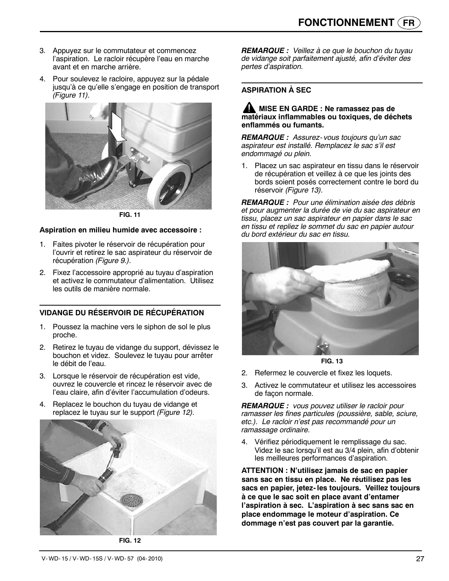- 3. Appuyez sur le commutateur et commencez l'aspiration. Le racloir récupère l'eau en marche avant et en marche arrière.
- 4. Pour soulevez le racloire, appuyez sur la pédale jusqu'à ce qu'elle s'engage en position de transport *(Figure 11).*



**FIG. 11**

#### **Aspiration en milieu humide avec accessoire :**

- 1. Faites pivoter le réservoir de récupération pour l'ouvrir et retirez le sac aspirateur du réservoir de récupération *(Figure 9.).*
- 2. Fixez l'accessoire approprié au tuyau d'aspiration et activez le commutateur d'alimentation. Utilisez les outils de manière normale.

#### **VIDANGE DU RÉSERVOIR DE RÉCUPÉRATION**

- 1. Poussez la machine vers le siphon de sol le plus proche.
- 2. Retirez le tuyau de vidange du support, dévissez le bouchon et videz. Soulevez le tuyau pour arrêter le débit de l'eau.
- 3. Lorsque le réservoir de récupération est vide, ouvrez le couvercle et rincez le réservoir avec de l'eau claire, afin d'éviter l'accumulation d'odeurs.
- 4. Replacez le bouchon du tuyau de vidange et replacez le tuyau sur le support *(Figure 12).*



**FIG. 12**

*REMARQUE : Veillez à ce que le bouchon du tuyau de vidange soit parfaitement ajusté, afin d'éviter des pertes d'aspiration.*

#### **ASPIRATION À SEC**

#### **A** MISE EN GARDE : Ne ramassez pas de **matériaux inflammables ou toxiques, de déchets enflammés ou fumants.**

*REMARQUE : Assurez- vous toujours qu'un sac aspirateur est installé. Remplacez le sac s'il est endommagé ou plein.*

1. Placez un sac aspirateur en tissu dans le réservoir de récupération et veillez à ce que les joints des bords soient posés correctement contre le bord du réservoir *(Figure 13).*

*REMARQUE : Pour une élimination aisée des débris et pour augmenter la durée de vie du sac aspirateur en tissu, placez un sac aspirateur en papier dans le sac en tissu et repliez le sommet du sac en papier autour du bord extérieur du sac en tissu.*



**FIG. 13**

- 2. Refermez le couvercle et fixez les loquets.
- 3. Activez le commutateur et utilisez les accessoires de façon normale.

*REMARQUE : vous pouvez utiliser le racloir pour ramasser les fines particules (poussière, sable, sciure, etc.). Le racloir n'est pas recommandé pour un ramassage ordinaire.*

4. Vérifiez périodiquement le remplissage du sac. Videz le sac lorsqu'il est au 3/4 plein, afin d'obtenir les meilleures performances d'aspiration.

**ATTENTION : N'utilisez jamais de sac en papier sans sac en tissu en place. Ne réutilisez pas les sacs en papier, jetez- les toujours. Veillez toujours à ce que le sac soit en place avant d'entamer l'aspiration à sec. L'aspiration à sec sans sac en place endommage le moteur d'aspiration. Ce dommage n'est pas couvert par la garantie.**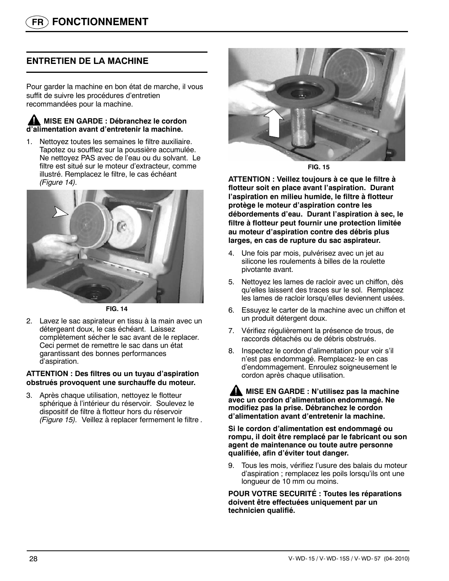## **ENTRETIEN DE LA MACHINE**

Pour garder la machine en bon état de marche, il vous suffit de suivre les procédures d'entretien recommandées pour la machine.

#### **MISE EN GARDE : Débranchez le cordon d'alimentation avant d'entretenir la machine.**

1. Nettoyez toutes les semaines le filtre auxiliaire. Tapotez ou soufflez sur la poussière accumulée. Ne nettoyez PAS avec de l'eau ou du solvant. Le filtre est situé sur le moteur d'extracteur, comme illustré. Remplacez le filtre, le cas échéant *(Figure 14).*



**FIG. 14**

2. Lavez le sac aspirateur en tissu à la main avec un détergeant doux, le cas échéant. Laissez complètement sécher le sac avant de le replacer. Ceci permet de remettre le sac dans un état garantissant des bonnes performances d'aspiration.

#### **ATTENTION : Des filtres ou un tuyau d'aspiration obstrués provoquent une surchauffe du moteur.**

3. Après chaque utilisation, nettoyez le flotteur sphérique à l'intérieur du réservoir. Soulevez le dispositif de filtre à flotteur hors du réservoir *(Figure 15).* Veillez à replacer fermement le filtre *.*



**FIG. 15**

**ATTENTION : Veillez toujours à ce que le filtre à flotteur soit en place avant l'aspiration. Durant l'aspiration en milieu humide, le filtre à flotteur protège le moteur d'aspiration contre les débordements d'eau. Durant l'aspiration à sec, le filtre à flotteur peut fournir une protection limitée au moteur d'aspiration contre des débris plus larges, en cas de rupture du sac aspirateur.**

- 4. Une fois par mois, pulvérisez avec un jet au silicone les roulements à billes de la roulette pivotante avant.
- 5. Nettoyez les lames de racloir avec un chiffon, dès qu'elles laissent des traces sur le sol. Remplacez les lames de racloir lorsqu'elles deviennent usées.
- 6. Essuyez le carter de la machine avec un chiffon et un produit détergent doux.
- 7. Vérifiez régulièrement la présence de trous, de raccords détachés ou de débris obstrués.
- 8. Inspectez le cordon d'alimentation pour voir s'il n'est pas endommagé. Remplacez- le en cas d'endommagement. Enroulez soigneusement le cordon après chaque utilisation.

**MISE EN GARDE : N'utilisez pas la machine avec un cordon d'alimentation endommagé. Ne modifiez pas la prise. Débranchez le cordon d'alimentation avant d'entretenir la machine.**

**Si le cordon d'alimentation est endommagé ou rompu, il doit être remplacé par le fabricant ou son agent de maintenance ou toute autre personne qualifiée, afin d'éviter tout danger.**

9. Tous les mois, vérifiez l'usure des balais du moteur d'aspiration ; remplacez les poils lorsqu'ils ont une longueur de 10 mm ou moins.

**POUR VOTRE SECURITÉ : Toutes les réparations doivent être effectuées uniquement par un technicien qualifié.**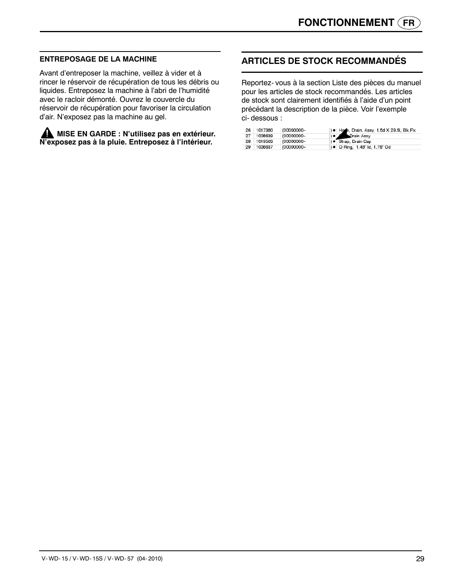#### **ENTREPOSAGE DE LA MACHINE**

Avant d'entreposer la machine, veillez à vider et à rincer le réservoir de récupération de tous les débris ou liquides. Entreposez la machine à l'abri de l'humidité avec le racloir démonté. Ouvrez le couvercle du réservoir de récupération pour favoriser la circulation d'air. N'exposez pas la machine au gel.

**MISE EN GARDE : N'utilisez pas en extérieur. N'exposez pas à la pluie. Entreposez à l'intérieur.**

## **ARTICLES DE STOCK RECOMMANDÉS**

Reportez- vous à la section Liste des pièces du manuel pour les articles de stock recommandés. Les articles de stock sont clairement identifiés à l'aide d'un point précédant la description de la pièce. Voir l'exemple ci- dessous :

|    | 26 1017380 | (00000000- | ) . Hore, Drain, Assy, 1.5d X 29.5l, Blk, Flx |
|----|------------|------------|-----------------------------------------------|
| 27 | 1008639    | (00000000- | Drain Assy                                    |
|    | 28 1019563 | (00000000- | ) · Strap, Drain Cap                          |
| 29 | 1008637    | (00000000- | ) • O Ring, 1.48" ld, 1.76" Od                |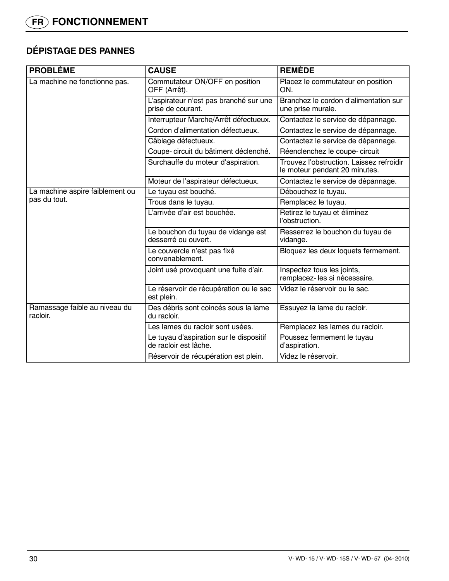## **DÉPISTAGE DES PANNES**

| <b>PROBLÈME</b>                           | <b>CAUSE</b>                                                     | <b>REMÈDE</b>                                                             |  |
|-------------------------------------------|------------------------------------------------------------------|---------------------------------------------------------------------------|--|
| La machine ne fonctionne pas.             | Commutateur ON/OFF en position<br>OFF (Arrêt).                   | Placez le commutateur en position<br>ON.                                  |  |
|                                           | L'aspirateur n'est pas branché sur une<br>prise de courant.      | Branchez le cordon d'alimentation sur<br>une prise murale.                |  |
|                                           | Interrupteur Marche/Arrêt défectueux.                            | Contactez le service de dépannage.                                        |  |
|                                           | Cordon d'alimentation défectueux.                                | Contactez le service de dépannage.                                        |  |
|                                           | Câblage défectueux.                                              | Contactez le service de dépannage.                                        |  |
|                                           | Coupe- circuit du bâtiment déclenché.                            | Réenclenchez le coupe- circuit                                            |  |
|                                           | Surchauffe du moteur d'aspiration.                               | Trouvez l'obstruction. Laissez refroidir<br>le moteur pendant 20 minutes. |  |
|                                           | Moteur de l'aspirateur défectueux.                               | Contactez le service de dépannage.                                        |  |
| La machine aspire faiblement ou           | Le tuyau est bouché.                                             | Débouchez le tuyau.                                                       |  |
| pas du tout.                              | Trous dans le tuyau.                                             | Remplacez le tuyau.                                                       |  |
|                                           | L'arrivée d'air est bouchée.                                     | Retirez le tuyau et éliminez<br>l'obstruction.                            |  |
|                                           | Le bouchon du tuyau de vidange est<br>desserré ou ouvert.        | Resserrez le bouchon du tuyau de<br>vidange.                              |  |
|                                           | Le couvercle n'est pas fixé<br>convenablement.                   | Bloquez les deux loquets fermement.                                       |  |
|                                           | Joint usé provoquant une fuite d'air.                            | Inspectez tous les joints,<br>remplacez-les si nécessaire.                |  |
|                                           | Le réservoir de récupération ou le sac<br>est plein.             | Videz le réservoir ou le sac.                                             |  |
| Ramassage faible au niveau du<br>racloir. | Des débris sont coincés sous la lame<br>du racloir.              | Essuyez la lame du racloir.                                               |  |
|                                           | Les lames du racloir sont usées.                                 | Remplacez les lames du racloir.                                           |  |
|                                           | Le tuyau d'aspiration sur le dispositif<br>de racloir est lâche. | Poussez fermement le tuyau<br>d'aspiration.                               |  |
|                                           | Réservoir de récupération est plein.                             | Videz le réservoir.                                                       |  |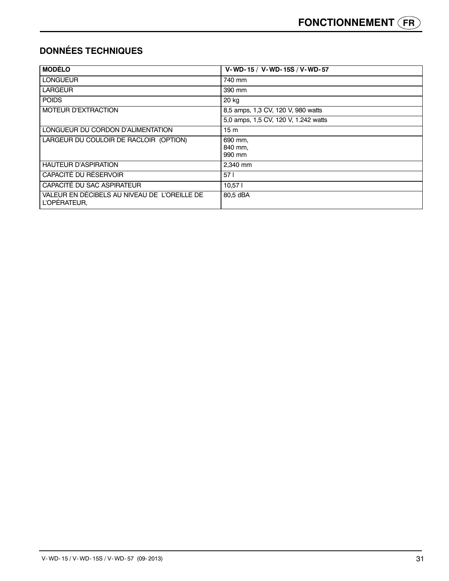## **DONNÉES TECHNIQUES**

| <b>MODÈLO</b>                                                | V-WD-15 / V-WD-15S / V-WD-57         |
|--------------------------------------------------------------|--------------------------------------|
| <b>LONGUEUR</b>                                              | 740 mm                               |
| <b>LARGEUR</b>                                               | 390 mm                               |
| <b>POIDS</b>                                                 | 20 kg                                |
| <b>MOTEUR D'EXTRACTION</b>                                   | 8,5 amps, 1,3 CV, 120 V, 980 watts   |
|                                                              | 5,0 amps, 1,5 CV, 120 V, 1.242 watts |
| LONGUEUR DU CORDON D'ALIMENTATION                            | 15 <sub>m</sub>                      |
| LARGEUR DU COULOIR DE RACLOIR (OPTION)                       | 690 mm.<br>840 mm.<br>990 mm         |
| <b>HAUTEUR D'ASPIRATION</b>                                  | 2.340 mm                             |
| CAPACITÉ DU RÉSERVOIR                                        | 571                                  |
| CAPACITÉ DU SAC ASPIRATEUR                                   | 10,57                                |
| VALEUR EN DÉCIBELS AU NIVEAU DE L'OREILLE DE<br>L'OPÉRATEUR. | 80,5 dBA                             |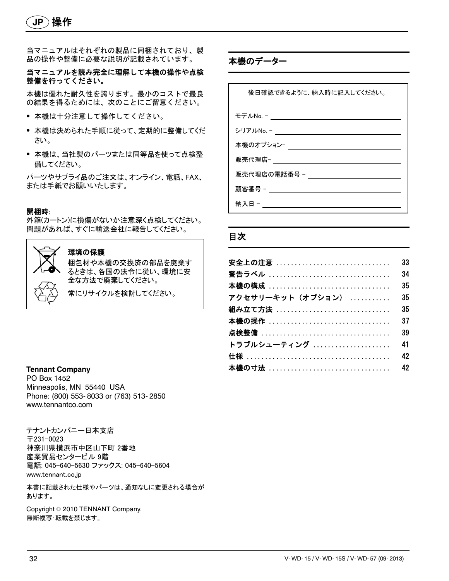当マニュアルはそれぞれの製品に同梱されており、製 品の操作や整備に必要な説明が記載されています。

#### 当マニュアルを読み完全に理解して本機の操作や点検 整備を行ってください。

本機は優れた耐久性を誇ります。最小のコストで最良 の結果を得るためには、次のことにご留意ください。

- S 本機は十分注意して操作してください。
- 本機は決められた手順に従って、定期的に整備してくだ さい。
- 本機は、当社製のパーツまたは同等品を使って点検整 備してください。

パーツやサプライ品のご注文は、オンライン、電話、FAX、 または手紙でお願いいたします。

#### 開梱時:

外箱(カートン)に損傷がないか注意深く点検してください。 問題があれば、すぐに輸送会社に報告してください。



#### 環境の保護

梱包材や本機の交換済の部品を廃棄す るときは、各国の法令に従い、環境に安 全な方法で廃棄してください。

常にリサイクルを検討してください。

#### **Tennant Company**

PO Box 1452 Minneapolis, MN 55440 USA Phone: (800) 553- 8033 or (763) 513- 2850 www.tennantco.com

テナントカンパニー日本支店 〒231-0023 神奈川県横浜市中区山下町 2番地 産業貿易センタービル 9階 電話: 045-640-5630 ファックス: 045-640-5604 www.tennant.co.jp

本書に記載された仕様やパーツは、通知なしに変更される場合が あります。

Copyright © 2010 TENNANT Company. 無断複写・転載を禁じます。

本機のデーター

後日確認できるように、納入時に記入してください。 モデルNo. - シリアルNo. - 本機のオプション-販売代理店-販売代理店の電話番号 - 顧客番号 - \_\_\_\_\_\_\_\_\_\_\_\_\_\_\_\_\_\_\_\_\_ **納入日 - https://** 

## 目次

| 安全上の注意                | 33 |
|-----------------------|----|
| 警告ラベル ……………………………………  | 34 |
| 本機の構成 ……………………………………… | 35 |
| アクセサリーキット(オプション)      | 35 |
|                       | 35 |
| 本機の操作                 | 37 |
| 点検整備 ………………………………………… | 39 |
| トラブルシューティング           | 41 |
|                       | 42 |
|                       | 42 |
|                       |    |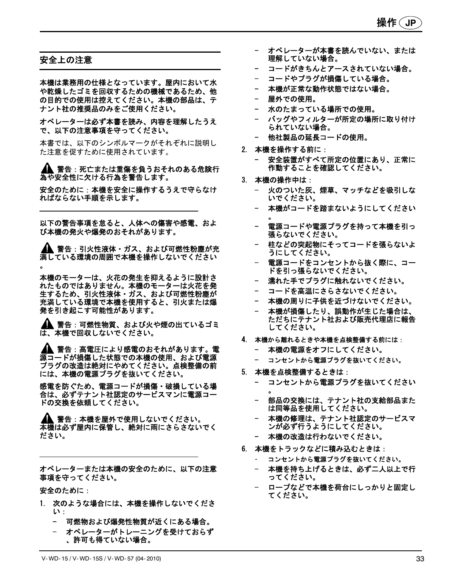#### 安全上の注意

本機は業務用の仕様となっています。屋内において水 や乾燥したゴミを回収するための機械であるため、他 の目的での使用は控えてください。本機の部品は、テ ナント社の推奨品のみをご使用ください。

オペレーターは必ず本書を読み、内容を理解したうえ で、以下の注意事項を守ってください。

本書では、以下のシンボルマークがそれぞれに説明し た注意を促すために使用されています。

▲▲ 警告 : 死亡または重傷を負うおそれのある危険行 為や安全性に欠ける行為を警告します。

安全のために:本機を安全に操作するうえで守らなけ ればならない手順を示します。

以下の警告事項を怠ると、人体への傷害や感電、およ び本機の発火や爆発のおそれがあります。

警告:引火性液体・ガス、および可燃性粉塵が充 満している環境の周囲で本機を操作しないでください 。

本機のモーターは、火花の発生を抑えるように設計さ れたものではありません。本機のモーターは火花を発 生するため、引火性液体・ガス、および可燃性粉塵が 充満している環境で本機を使用すると、引火または爆 発を引き起こす可能性があります。

▲ 警告:可燃性物質、および火や煙の出ているゴミ は、本機で回収しないでください。

▲▲ 警告 : 高電圧により感電のおそれがあります。電 源コードが損傷した状態での本機の使用、および電源 プラグの改造は絶対にやめてください。点検整備の前 には、本機の電源プラグを抜いてください。

感電を防ぐため、電源コードが損傷・破損している場 合は、必ずテナント社認定のサービスマンに電源コー ドの交換を依頼してください。

警告:本機を屋外で使用しないでください。 本機は必ず屋内に保管し、絶対に雨にさらさないでく ださい。

オペレーターまたは本機の安全のために、以下の注意 事項を守ってください。

安全のために:

- 1. 次のような場合には、本機を操作しないでくださ い:
	- 可燃物および爆発性物質が近くにある場合。
	- オペレーターがトレーニングを受けておらず 、許可も得ていない場合。
- オペレーターが本書を読んでいない、または 理解していない場合。
- コードがきちんとアースされていない場合。
- コードやプラグが損傷している場合。
- 本機が正常な動作状態ではない場合。
- 屋外での使用。
- 水のたまっている場所での使用。
- バッグやフィルターが所定の場所に取り付け られていない場合。
- 他社製品の延長コードの使用。
- 2. 本機を操作する前に:
	- 安全装置がすべて所定の位置にあり、正常に 作動することを確認してください。
- 3. 本機の操作中は:
	- 火のついた灰、煙草、マッチなどを吸引しな いでください。
	- 本機がコードを踏まないようにしてください 。
	- 電源コードや電源プラグを持って本機を引っ 張らないでください。
	- 柱などの突起物にそってコードを張らないよ うにしてください。
	- 電源コードをコンセントから抜く際に、コー ドを引っ張らないでください。
	- 濡れた手でプラグに触れないでください。
	- コードを高温にさらさないでください。
	- 本機の周りに子供を近づけないでください。
	- 本機が損傷したり、誤動作が生じた場合は、 ただちにテナント社および販売代理店に報告 してください。
- 4. 本機から離れるときや本機を点検整備する前には:
	- 本機の電源をオフにしてください。
	- コンセントから電源プラグを抜いてください。
- 5. 本機を点検整備するときは:
	- コンセントから電源プラグを抜いてください 。
	- 部品の交換には、テナント社の支給部品また は同等品を使用してください。
	- 本機の修理は、テナント社認定のサービスマ ンが必ず行うようにしてください。
	- 本機の改造は行わないでください。
- 6. 本機をトラックなどに積み込むときは:
	- コンセントから電源プラグを抜いてください。
	- 本機を持ち上げるときは、必ず二人以上で行 ってください。
	- ロープなどで本機を荷台にしっかりと固定し てください。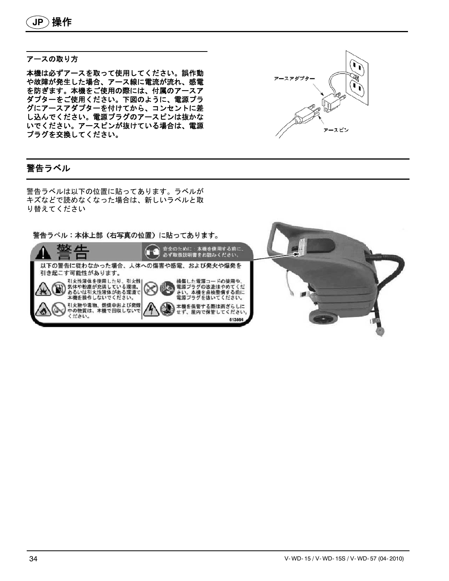#### アースの取り方

本機は必ずアースを取って使用してください。誤作動 や故障が発生した場合、アース線に電流が流れ、感電 を防ぎます。本機をご使用の際には、付属のアースア ダプターをご使用ください。下図のように、電源プラ グにアースアダプターを付けてから、コンセントに差 し込んでください。電源プラグのアースピンは抜かな いでください。アースピンが抜けている場合は、電源 プラグを交換してください。

## 警告ラベル

警告ラベルは以下の位置に貼ってあります。ラベルが キズなどで読めなくなった場合は、新しいラベルと取 り替えてください

警告ラベル:本体上部(右写真の位置)に貼ってあります。 安全のために:本機を使用する前に、<br>必ず取扱説明書をお読みください。 苟攵 片 Œ 以下の警告に従わなかった場合、人体への傷害や感電、および発火や爆発を 引き起こす可能性があります。 損傷した電源コードの使用や、<br>電源ブラグの改造はやめてくだ<br>さい。本機を点検整備する前に<br>電源ブラグを抜いてください。 引火性液体を使用したり、引火性| 気体や粉塵が充満している環境、<br>あるいは引火性液体がある環境で 本機を操作しないでください。 引火物や毒物、燃焼中および発煙<br>中の物質は、本機で回収しないで 本機を保管する際は雨ざらしに 、屋内で保管してください せず ください。 613864

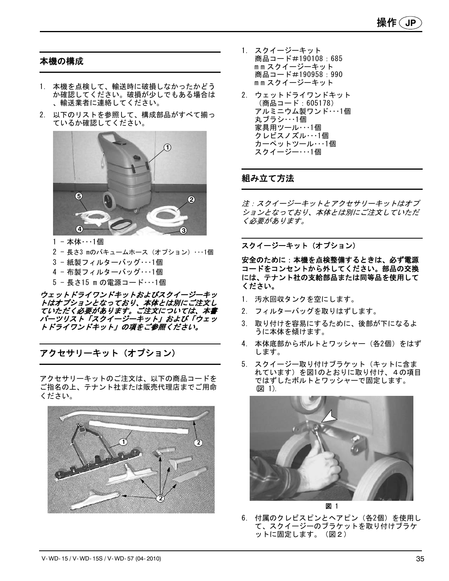## 本機の構成

- 1. 本機を点検して、輸送時に破損しなかったかどう か確認してください。破損が少しでもある場合は 、輸送業者に連絡してください。
- 2. 以下のリストを参照して、構成部品がすべて揃っ ているか確認してください。



- 1 本体・・・1個
- 2 長さ3 mのバキュームホース(オプション)・・・1個
- 3 紙製フィルターバッグ・・・1個
- 4 布製フィルターバッグ・・・1個
- 5 長さ15 m の電源コード・・・1個

ウェットドライワンドキットおよびスクイージーキッ トはオプションとなっており、本体とは別にご注文し ていただく必要があります。ご注文については、本書 パーツリスト「スクイージーキット」および「ウェッ トドライワンドキット」の項をご参照ください。

アクセサリーキット(オプション)

アクセサリーキットのご注文は、以下の商品コードを ご指名の上、テナント社または販売代理店までご用命 ください。



- 1. スクイージーキット 商品コード#190108:685 mm スクイージーキット 商品コード#190958:990 mm スクイージーキット
- 2. ウェットドライワンドキット (商品コード:605178) アルミニウム製ワンド・・・1個 丸ブラシ・・・1個 家具用ツール・・・1個 クレビスノズル・・・1個 カーペットツール・・・1個 スクイージー・・・1個

## 組み立て方法

注:スクイージーキットとアクセサリーキットはオプ ションとなっており、本体とは別にご注文していただ く必要があります。

#### スクイージーキット(オプション)

安全のために:本機を点検整備するときは、必ず電源 コードをコンセントから外してください。部品の交換 には、テナント社の支給部品または同等品を使用して ください。

- 1. 汚水回収タンクを空にします。
- 2. フィルターバッグを取りはずします。
- 3. 取り付けを容易にするために、後部が下になるよ うに本体を傾けます。
- 4. 本体底部からボルトとワッシャー(各2個)をはず します。
- 5. スクイージー取り付けブラケット(キットに含ま れています)を図1のとおりに取り付け、4の項目 ではずしたボルトとワッシャーで固定します。 (図 1).



図 1

6. 付属のクレビスピンとヘアピン(各2個)を使用し て、スクイージーのブラケットを取り付けブラケ ットに固定します。(図2)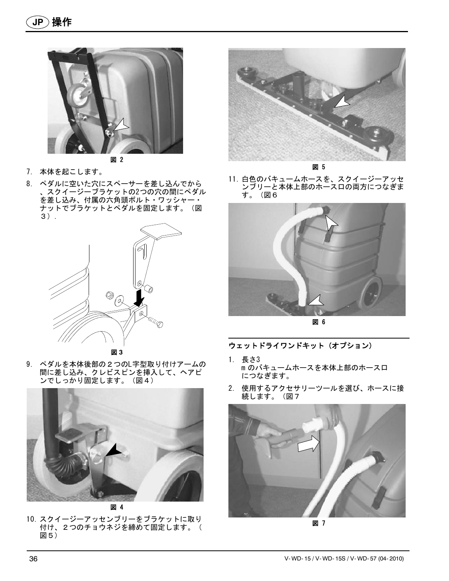



- 7. 本体を起こします。
- 8. ペダルに空いた穴にスペーサーを差し込んでから 、スクイージーブラケットの2つの穴の間にペダル を差し込み、付属の六角頭ボルト・ワッシャー・ ナットでブラケットとペダルを固定します。(図 3).



図 **3**

9. ペダルを本体後部の2つのL字型取り付けアームの 間に差し込み、クレビスピンを挿入して、ヘアピ ンでしっかり固定します。(図4)



10. スクイージーアッセンブリーをブラケットに取り 付け、2つのチョウネジを締めて固定します。( 図5)



図 5

11. 白色のバキュームホースを、スクイージーアッセ ンブリーと本体上部のホース口の両方につなぎま す。(図6



図 6

## ウェットドライワンドキット(オプション)

- 1. 長さ3 m のバキュームホースを本体上部のホース口 につなぎます。
- 2. 使用するアクセサリーツールを選び、ホースに接 続します。(図7



図 7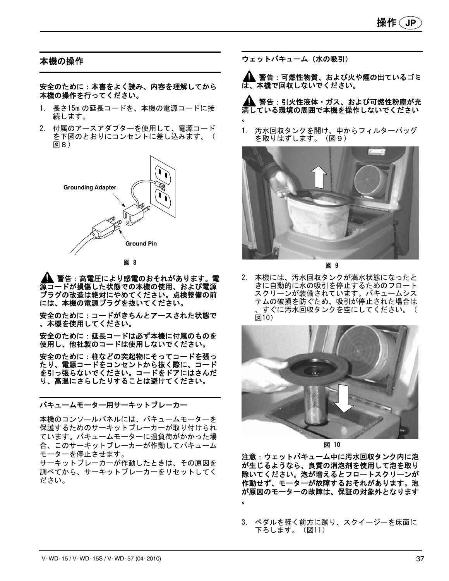## 本機の操作

安全のために:本書をよく読み、内容を理解してから 本機の操作を行ってください。

- 1. 長さ15m の延長コードを、本機の電源コードに接 続します。
- 2. 付属のアースアダプターを使用して、電源コード を下図のとおりにコンセントに差し込みます。( 図8)



図 8

警告:高電圧により感電のおそれがあります。電 源コードが損傷した状態での本機の使用、および電源 プラグの改造は絶対にやめてください。点検整備の前 には、本機の電源プラグを抜いてください。

安全のために:コードがきちんとアースされた状態で 、本機を使用してください。

安全のために:延長コードは必ず本機に付属のものを 使用し、他社製のコードは使用しないでください。

安全のために:柱などの突起物にそってコードを張っ たり、電源コードをコンセントから抜く際に、コード を引っ張らないでください。コードをドアにはさんだ り、高温にさらしたりすることは避けてください。

バキュームモーター用サーキットブレーカー

本機のコンソールパネルには、バキュームモーターを 保護するためのサーキットブレーカーが取り付けられ ています。バキュームモーターに過負荷がかかった場 合、このサーキットブレーカーが作動してバキューム モーターを停止させます。

サーキットブレーカーが作動したときは、その原因を 調べてから、サーキットブレーカーをリセットしてく ださい。

ウェットバキューム(水の吸引)

警告:可燃性物質、および火や煙の出ているゴミ は、本機で回収しないでください。

警告:引火性液体・ガス、および可燃性粉塵が充 満している環境の周囲で本機を操作しないでください 。

1. 汚水回収タンクを開け、中からフィルターバッグ を取りはずします。(図9)



図 9

2. 本機には、汚水回収タンクが満水状態になったと きに自動的に水の吸引を停止するためのフロート スクリーンが装備されています。バキュームシス テムの破損を防ぐため、吸引が停止された場合は 、すぐに汚水回収タンクを空にしてください。( 図10)



図 10

注意:ウェットバキューム中に汚水回収タンク内に泡 が生じるようなら、良質の消泡剤を使用して泡を取り 除いてください。泡が増えるとフロートスクリーンが 作動せず、モーターが故障するおそれがあります。泡 が原因のモーターの故障は、保証の対象外となります 。

3. ペダルを軽く前方に蹴り、スクイージーを床面に 下ろします。(図11)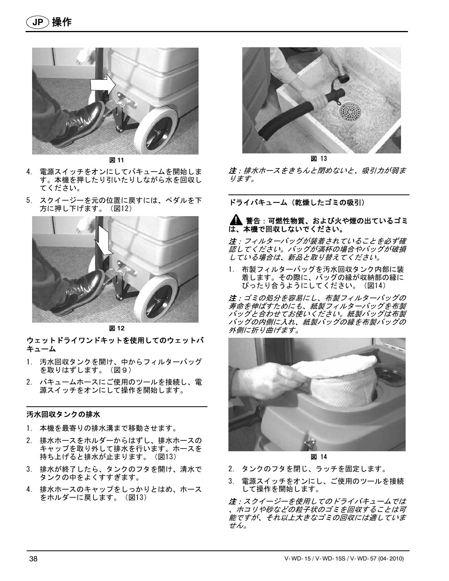

図 **11**

- 4. 電源スイッチをオンにしてバキュームを開始しま す。本機を押したり引いたりしながら水を回収し てください。
- 5. スクイージーを元の位置に戻すには、ペダルを下 方に押し下げます。(図12)



図 **12**

#### ウェットドライワンドキットを使用してのウェットバ キューム

- 1. 汚水回収タンクを開け、中からフィルターバッグ を取りはずします。(図9)
- 2. バキュームホースにご使用のツールを接続し、電 源スイッチをオンにして操作を開始します。

#### 汚水回収タンクの排水

- 1. 本機を最寄りの排水溝まで移動させます。
- 2. 排水ホースをホルダーからはずし、排水ホースの キャップを取り外して排水を行います。ホースを 持ち上げると排水が止まります。(図13)
- 3. 排水が終了したら、タンクのフタを開け、清水で タンクの中をよくすすぎます。
- 4. 排水ホースのキャップをしっかりとはめ、ホース をホルダーに戻します。(図13)



図 13

注:排水ホースをきちんと閉めないと、吸引力が弱ま ります。

ドライバキューム(乾燥したゴミの吸引)

#### ▲ 警告 : 可燃性物質、および火や煙の出ているゴミ は、本機で回収しないでください。

注:フィルターバッグが装着されていることを必ず確 認してください。バッグが満杯の場合やバッグが破損 している場合は、新品と取り替えてください。

1. 布製フィルターバッグを汚水回収タンク内部に装 着します。その際に、バッグの縁が収納部の縁に ぴったり合うようにしてください。(図14)

注:ゴミの処分を容易にし、布製フィルターバッグの 寿命を伸ばすためにも、紙製フィルターバッグを布製 バッグと合わせてお使いください。紙製バッグは布製 バッグの内側に入れ、紙製バッグの縁を布製バッグの 外側に折り曲げます。



図 14

- 2. タンクのフタを閉じ、ラッチを固定します。
- 3. 電源スイッチをオンにし、ご使用のツールを接続 して操作を開始します。

注:スクイージーを使用してのドライバキュームでは 、ホコリや砂などの粒子状のゴミを回収することは可 能ですが、それ以上大きなゴミの回収には適していま せん。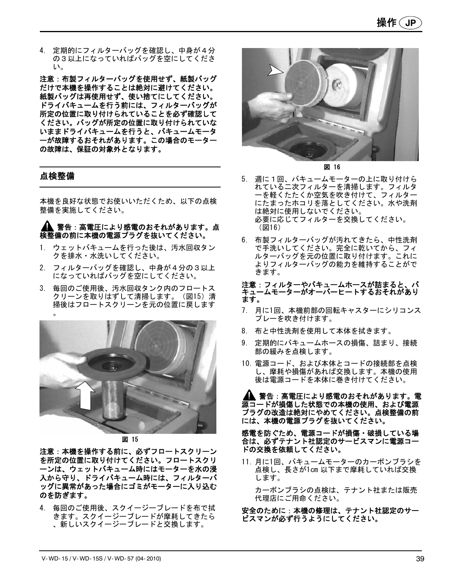4. 定期的にフィルターバッグを確認し、中身が4分 の3以上になっていればバッグを空にしてくださ い。

注意:布製フィルターバッグを使用せず、紙製バッグ だけで本機を操作することは絶対に避けてください。 紙製バッグは再使用せず、使い捨てにしてください。 ドライバキュームを行う前には、フィルターバッグが 所定の位置に取り付けられていることを必ず確認して ください。バッグが所定の位置に取り付けられていな いままドライバキュームを行うと、バキュームモータ ーが故障するおそれがあります。この場合のモーター の故障は、保証の対象外となります。

## 点検整備

本機を良好な状態でお使いいただくため、以下の点検 整備を実施してください。

#### 警告:高電圧により感電のおそれがあります。点 検整備の前に本機の電源プラグを抜いてください。

- 1. ウェットバキュームを行った後は、汚水回収タン クを排水・水洗いしてください。
- 2. フィルターバッグを確認し、中身が4分の3以上 になっていればバッグを空にしてください。
- 3. 毎回のご使用後、汚水回収タンク内のフロートス クリーンを取りはずして清掃します。(図15)清 掃後はフロートスクリーンを元の位置に戻します 。



図 15

注意:本機を操作する前に、必ずフロートスクリーン を所定の位置に取り付けてください。フロートスクリ ーンは、ウェットバキューム時にはモーターを水の浸 入から守り、ドライバキューム時には、フィルターバ ッグに異常があった場合にゴミがモーターに入り込む のを防ぎます。

4. 毎回のご使用後、スクイージーブレードを布で拭 きます。スクイージーブレードが摩耗してきたら 、新しいスクイージーブレードと交換します。



図 16

- 5. 週に1回、バキュームモーターの上に取り付けら れている二次フィルターを清掃します。フィルタ ーを軽くたたくか空気を吹き付けて、フィルター にたまったホコリを落としてください。水や洗剤 は絶対に使用しないでください。 必要に応じてフィルターを交換してください。 (図16)
- 6. 布製フィルターバッグが汚れてきたら、中性洗剤 で手洗いしてください。完全に乾いてから、フィ ルターバッグを元の位置に取り付けます。これに よりフィルターバッグの能力を維持することがで きます。

#### 注意:フィルターやバキュームホースが詰まると、バ キュームモーターがオーバーヒートするおそれがあり ます。

- 7. 月に1回、本機前部の回転キャスターにシリコンス プレーを吹き付けます。
- 8. 布と中性洗剤を使用して本体を拭きます。
- 9. 定期的にバキュームホースの損傷、詰まり、接続 部の緩みを点検します。
- 10. 電源コード、および本体とコードの接続部を点検 し、摩耗や損傷があれば交換します。本機の使用 後は電源コードを本体に巻き付けてください。

▲▲ 警告 : 高電圧により感電のおそれがあります。電 源コードが損傷した状態での本機の使用、および電源 プラグの改造は絶対にやめてください。点検整備の前 には、本機の電源プラグを抜いてください。

感電を防ぐため、電源コードが損傷・破損している場 合は、必ずテナント社認定のサービスマンに電源コー ドの交換を依頼してください。

11. 月に1回、バキュームモーターのカーボンブラシを 点検し、長さが1cm 以下まで摩耗していれば交換 します。

カーボンブラシの点検は、テナント社または販売 代理店にご用命ください。

安全のために:本機の修理は、テナント社認定のサー ビスマンが必ず行うようにしてください。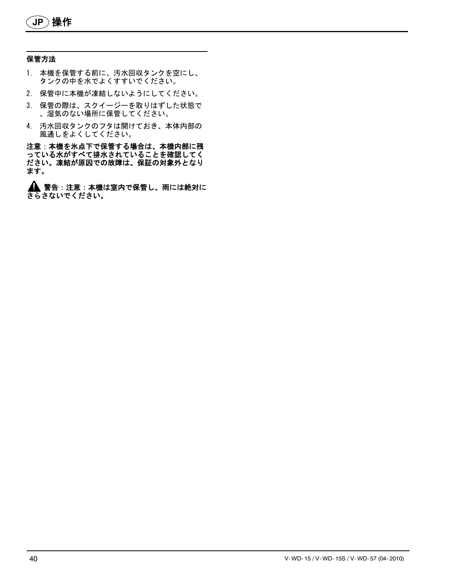#### 保管方法

- 1. 本機を保管する前に、汚水回収タンクを空にし、 タンクの中を水でよくすすいでください。
- 2. 保管中に本機が凍結しないようにしてください。
- 3. 保管の際は、スクイージーを取りはずした状態で 、湿気のない場所に保管してください。
- 4. 汚水回収タンクのフタは開けておき、本体内部の 風通しをよくしてください。

注意:本機を氷点下で保管する場合は、本機内部に残 ここい?放送が流しているれていることを確認してく ださい。凍結が原因での故障は、保証の対象外となり ます。

▲ 警告 : 注意 : 本機は室内で保管し、雨には絶対に さらさないでください。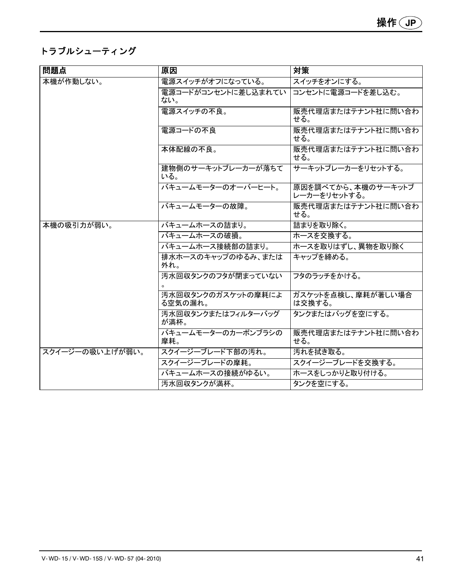## トラブルシューティング

| 問題点             | 原因                            | 対策                                 |
|-----------------|-------------------------------|------------------------------------|
| 本機が作動しない。       | 電源スイッチがオフになっている。              | スイッチをオンにする。                        |
|                 | 電源コードがコンセントに差し込まれてい<br>ない。    | コンセントに電源コードを差し込む。                  |
|                 | 電源スイッチの不良。                    | 販売代理店またはテナント社に問い合わ<br>せる。          |
|                 | 電源コードの不良                      | 販売代理店またはテナント社に問い合わ<br>せる。          |
|                 | 本体配線の不良。                      | 販売代理店またはテナント社に問い合わ<br>せる。          |
|                 | 建物側のサーキットブレーカーが落ちて<br>いる。     | サーキットブレーカーをリセットする。                 |
|                 | バキュームモーターのオーバーヒート。            | 原因を調べてから、本機のサーキットブ<br>レーカーをリセットする。 |
|                 | バキュームモーターの故障。                 | 販売代理店またはテナント社に問い合わ<br>せる。          |
| 本機の吸引力が弱い。      | バキュームホースの詰まり。                 | 詰まりを取り除く。                          |
|                 | バキュームホースの破損。                  | ホースを交換する。                          |
|                 | バキュームホース接続部の詰まり。              | ホースを取りはずし、異物を取り除く                  |
|                 | 排水ホースのキャップのゆるみ、または<br>外れ。     | キャップを締める。                          |
|                 | 汚水回収タンクのフタが閉まっていない            | フタのラッチをかける。                        |
|                 | 汚水回収タンクのガスケットの摩耗によ<br>る空気の漏れ。 | ガスケットを点検し、摩耗が著しい場合<br>は交換する。       |
|                 | 汚水回収タンクまたはフィルターバッグ<br>が満杯。    | タンクまたはバッグを空にする。                    |
|                 | バキュームモーターのカーボンブラシの<br>摩耗。     | 販売代理店またはテナント社に問い合わ<br>せる。          |
| スクイージーの吸い上げが弱い。 | スクイージーブレード下部の汚れ。              | 汚れを拭き取る。                           |
|                 | スクイージーブレードの摩耗。                | スクイージーブレードを交換する。                   |
|                 | バキュームホースの接続がゆるい。              | ホースをしっかりと取り付ける。                    |
|                 | 汚水回収タンクが満杯。                   | タンクを空にする。                          |